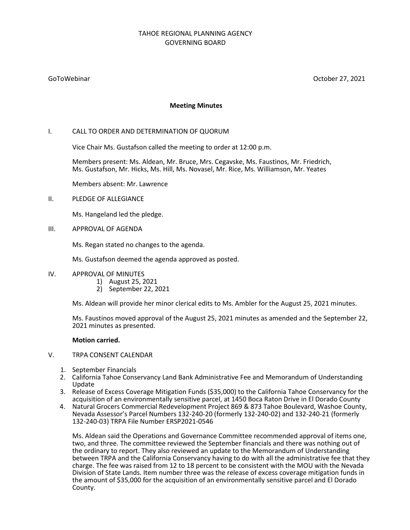# TAHOE REGIONAL PLANNING AGENCY GOVERNING BOARD

GoToWebinar October 27, 2021

## **Meeting Minutes**

## I. CALL TO ORDER AND DETERMINATION OF QUORUM

Vice Chair Ms. Gustafson called the meeting to order at 12:00 p.m.

Members present: Ms. Aldean, Mr. Bruce, Mrs. Cegavske, Ms. Faustinos, Mr. Friedrich, Ms. Gustafson, Mr. Hicks, Ms. Hill, Ms. Novasel, Mr. Rice, Ms. Williamson, Mr. Yeates

Members absent: Mr. Lawrence

## II. PLEDGE OF ALLEGIANCE

Ms. Hangeland led the pledge.

III. APPROVAL OF AGENDA

Ms. Regan stated no changes to the agenda.

Ms. Gustafson deemed the agenda approved as posted.

- IV. APPROVAL OF MINUTES
	- 1) August 25, 2021
	- 2) September 22, 2021

Ms. Aldean will provide her minor clerical edits to Ms. Ambler for the August 25, 2021 minutes.

Ms. Faustinos moved approval of the August 25, 2021 minutes as amended and the September 22, 2021 minutes as presented.

### **Motion carried.**

## V. TRPA CONSENT CALENDAR

- 1. September Financials
- 2. California Tahoe Conservancy Land Bank Administrative Fee and Memorandum of Understanding Update
- 3. Release of Excess Coverage Mitigation Funds (\$35,000) to the California Tahoe Conservancy for the acquisition of an environmentally sensitive parcel, at 1450 Boca Raton Drive in El Dorado County
- 4. Natural Grocers Commercial Redevelopment Project 869 & 873 Tahoe Boulevard, Washoe County, Nevada Assessor's Parcel Numbers 132-240-20 (formerly 132-240-02) and 132-240-21 (formerly 132-240-03) TRPA File Number ERSP2021-0546

Ms. Aldean said the Operations and Governance Committee recommended approval of items one, two, and three. The committee reviewed the September financials and there was nothing out of the ordinary to report. They also reviewed an update to the Memorandum of Understanding between TRPA and the California Conservancy having to do with all the administrative fee that they charge. The fee was raised from 12 to 18 percent to be consistent with the MOU with the Nevada Division of State Lands. Item number three was the release of excess coverage mitigation funds in the amount of \$35,000 for the acquisition of an environmentally sensitive parcel and El Dorado County.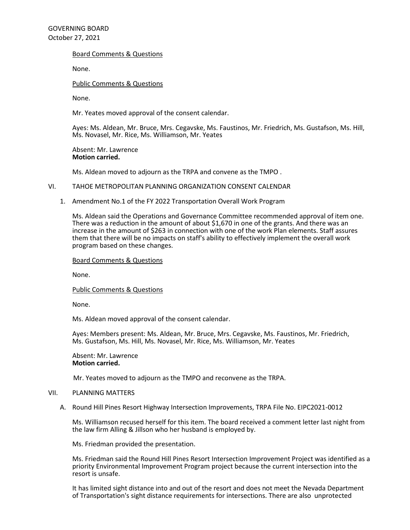## Board Comments & Questions

None.

## Public Comments & Questions

None.

Mr. Yeates moved approval of the consent calendar.

Ayes: Ms. Aldean, Mr. Bruce, Mrs. Cegavske, Ms. Faustinos, Mr. Friedrich, Ms. Gustafson, Ms. Hill, Ms. Novasel, Mr. Rice, Ms. Williamson, Mr. Yeates

Absent: Mr. Lawrence **Motion carried.**

Ms. Aldean moved to adjourn as the TRPA and convene as the TMPO .

## VI. TAHOE METROPOLITAN PLANNING ORGANIZATION CONSENT CALENDAR

1. Amendment No.1 of the FY 2022 Transportation Overall Work Program

Ms. Aldean said the Operations and Governance Committee recommended approval of item one. There was a reduction in the amount of about \$1,670 in one of the grants. And there was an increase in the amount of \$263 in connection with one of the work Plan elements. Staff assures them that there will be no impacts on staff's ability to effectively implement the overall work program based on these changes.

### Board Comments & Questions

None.

#### Public Comments & Questions

None.

Ms. Aldean moved approval of the consent calendar.

Ayes: Members present: Ms. Aldean, Mr. Bruce, Mrs. Cegavske, Ms. Faustinos, Mr. Friedrich, Ms. Gustafson, Ms. Hill, Ms. Novasel, Mr. Rice, Ms. Williamson, Mr. Yeates

Absent: Mr. Lawrence **Motion carried.**

Mr. Yeates moved to adjourn as the TMPO and reconvene as the TRPA.

### VII. PLANNING MATTERS

A. Round Hill Pines Resort Highway Intersection Improvements, TRPA File No. EIPC2021-0012

Ms. Williamson recused herself for this item. The board received a comment letter last night from the law firm Alling & Jillson who her husband is employed by.

Ms. Friedman provided the presentation.

Ms. Friedman said the Round Hill Pines Resort Intersection Improvement Project was identified as a priority Environmental Improvement Program project because the current intersection into the resort is unsafe.

It has limited sight distance into and out of the resort and does not meet the Nevada Department of Transportation's sight distance requirements for intersections. There are also unprotected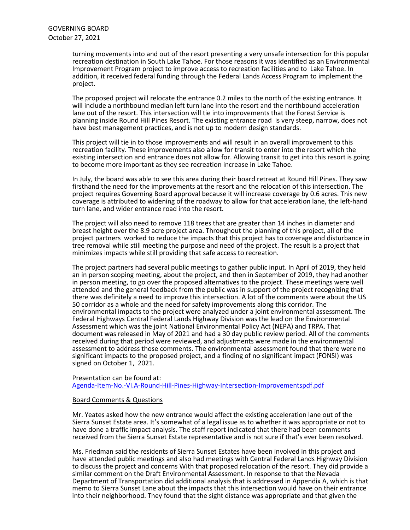turning movements into and out of the resort presenting a very unsafe intersection for this popular recreation destination in South Lake Tahoe. For those reasons it was identified as an Environmental Improvement Program project to improve access to recreation facilities and to Lake Tahoe. In addition, it received federal funding through the Federal Lands Access Program to implement the project.

The proposed project will relocate the entrance 0.2 miles to the north of the existing entrance. It will include a northbound median left turn lane into the resort and the northbound acceleration lane out of the resort. This intersection will tie into improvements that the Forest Service is planning inside Round Hill Pines Resort. The existing entrance road is very steep, narrow, does not have best management practices, and is not up to modern design standards.

This project will tie in to those improvements and will result in an overall improvement to this recreation facility. These improvements also allow for transit to enter into the resort which the existing intersection and entrance does not allow for. Allowing transit to get into this resort is going to become more important as they see recreation increase in Lake Tahoe.

In July, the board was able to see this area during their board retreat at Round Hill Pines. They saw firsthand the need for the improvements at the resort and the relocation of this intersection. The project requires Governing Board approval because it will increase coverage by 0.6 acres. This new coverage is attributed to widening of the roadway to allow for that acceleration lane, the left-hand turn lane, and wider entrance road into the resort.

The project will also need to remove 118 trees that are greater than 14 inches in diameter and breast height over the 8.9 acre project area. Throughout the planning of this project, all of the project partners worked to reduce the impacts that this project has to coverage and disturbance in tree removal while still meeting the purpose and need of the project. The result is a project that minimizes impacts while still providing that safe access to recreation.

The project partners had several public meetings to gather public input. In April of 2019, they held an in person scoping meeting, about the project, and then in September of 2019, they had another in person meeting, to go over the proposed alternatives to the project. These meetings were well attended and the general feedback from the public was in support of the project recognizing that there was definitely a need to improve this intersection. A lot of the comments were about the US 50 corridor as a whole and the need for safety improvements along this corridor. The environmental impacts to the project were analyzed under a joint environmental assessment. The Federal Highways Central Federal Lands Highway Division was the lead on the Environmental Assessment which was the joint National Environmental Policy Act (NEPA) and TRPA. That document was released in May of 2021 and had a 30 day public review period. All of the comments received during that period were reviewed, and adjustments were made in the environmental assessment to address those comments. The environmental assessment found that there were no significant impacts to the proposed project, and a finding of no significant impact (FONSI) was signed on October 1, 2021.

Presentation can be found at: [Agenda-Item-No.-VI.A-Round-Hill-Pines-Highway-Intersection-Improvementspdf.pdf](https://www.trpa.gov/wp-content/uploads/Agenda-Item-No.-VI.A-Round-Hill-Pines-Highway-Intersection-Improvementspdf.pdf)

### Board Comments & Questions

Mr. Yeates asked how the new entrance would affect the existing acceleration lane out of the Sierra Sunset Estate area. It's somewhat of a legal issue as to whether it was appropriate or not to have done a traffic impact analysis. The staff report indicated that there had been comments received from the Sierra Sunset Estate representative and is not sure if that's ever been resolved.

Ms. Friedman said the residents of Sierra Sunset Estates have been involved in this project and have attended public meetings and also had meetings with Central Federal Lands Highway Division to discuss the project and concerns With that proposed relocation of the resort. They did provide a similar comment on the Draft Environmental Assessment. In response to that the Nevada Department of Transportation did additional analysis that is addressed in Appendix A, which is that memo to Sierra Sunset Lane about the impacts that this intersection would have on their entrance into their neighborhood. They found that the sight distance was appropriate and that given the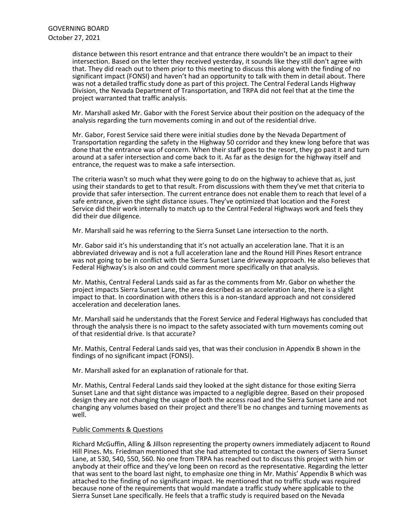distance between this resort entrance and that entrance there wouldn't be an impact to their intersection. Based on the letter they received yesterday, it sounds like they still don't agree with that. They did reach out to them prior to this meeting to discuss this along with the finding of no significant impact (FONSI) and haven't had an opportunity to talk with them in detail about. There was not a detailed traffic study done as part of this project. The Central Federal Lands Highway Division, the Nevada Department of Transportation, and TRPA did not feel that at the time the project warranted that traffic analysis.

Mr. Marshall asked Mr. Gabor with the Forest Service about their position on the adequacy of the analysis regarding the turn movements coming in and out of the residential drive.

Mr. Gabor, Forest Service said there were initial studies done by the Nevada Department of Transportation regarding the safety in the Highway 50 corridor and they knew long before that was done that the entrance was of concern. When their staff goes to the resort, they go past it and turn around at a safer intersection and come back to it. As far as the design for the highway itself and entrance, the request was to make a safe intersection.

The criteria wasn't so much what they were going to do on the highway to achieve that as, just using their standards to get to that result. From discussions with them they've met that criteria to provide that safer intersection. The current entrance does not enable them to reach that level of a safe entrance, given the sight distance issues. They've optimized that location and the Forest Service did their work internally to match up to the Central Federal Highways work and feels they did their due diligence.

Mr. Marshall said he was referring to the Sierra Sunset Lane intersection to the north.

Mr. Gabor said it's his understanding that it's not actually an acceleration lane. That it is an abbreviated driveway and is not a full acceleration lane and the Round Hill Pines Resort entrance was not going to be in conflict with the Sierra Sunset Lane driveway approach. He also believes that Federal Highway's is also on and could comment more specifically on that analysis.

Mr. Mathis, Central Federal Lands said as far as the comments from Mr. Gabor on whether the project impacts Sierra Sunset Lane, the area described as an acceleration lane, there is a slight impact to that. In coordination with others this is a non-standard approach and not considered acceleration and deceleration lanes.

Mr. Marshall said he understands that the Forest Service and Federal Highways has concluded that through the analysis there is no impact to the safety associated with turn movements coming out of that residential drive. Is that accurate?

Mr. Mathis, Central Federal Lands said yes, that was their conclusion in Appendix B shown in the findings of no significant impact (FONSI).

Mr. Marshall asked for an explanation of rationale for that.

Mr. Mathis, Central Federal Lands said they looked at the sight distance for those exiting Sierra Sunset Lane and that sight distance was impacted to a negligible degree. Based on their proposed design they are not changing the usage of both the access road and the Sierra Sunset Lane and not changing any volumes based on their project and there'll be no changes and turning movements as well.

### Public Comments & Questions

Richard McGuffin, Alling & Jillson representing the property owners immediately adjacent to Round Hill Pines. Ms. Friedman mentioned that she had attempted to contact the owners of Sierra Sunset Lane, at 530, 540, 550, 560. No one from TRPA has reached out to discuss this project with him or anybody at their office and they've long been on record as the representative. Regarding the letter that was sent to the board last night, to emphasize one thing in Mr. Mathis' Appendix B which was attached to the finding of no significant impact. He mentioned that no traffic study was required because none of the requirements that would mandate a traffic study where applicable to the Sierra Sunset Lane specifically. He feels that a traffic study is required based on the Nevada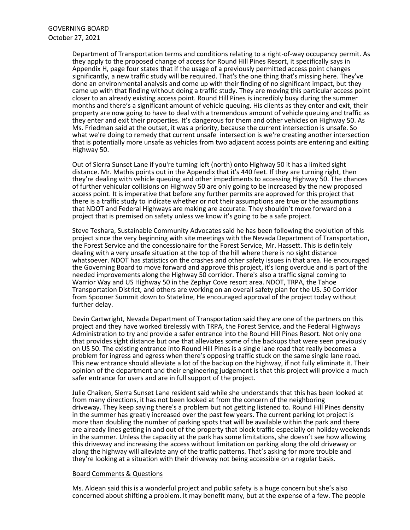Department of Transportation terms and conditions relating to a right-of-way occupancy permit. As they apply to the proposed change of access for Round Hill Pines Resort, it specifically says in Appendix H, page four states that if the usage of a previously permitted access point changes significantly, a new traffic study will be required. That's the one thing that's missing here. They've done an environmental analysis and come up with their finding of no significant impact, but they came up with that finding without doing a traffic study. They are moving this particular access point closer to an already existing access point. Round Hill Pines is incredibly busy during the summer months and there's a significant amount of vehicle queuing. His clients as they enter and exit, their property are now going to have to deal with a tremendous amount of vehicle queuing and traffic as they enter and exit their properties. It's dangerous for them and other vehicles on Highway 50. As Ms. Friedman said at the outset, it was a priority, because the current intersection is unsafe. So what we're doing to remedy that current unsafe intersection is we're creating another intersection that is potentially more unsafe as vehicles from two adjacent access points are entering and exiting Highway 50.

Out of Sierra Sunset Lane if you're turning left (north) onto Highway 50 it has a limited sight distance. Mr. Mathis points out in the Appendix that it's 440 feet. If they are turning right, then they're dealing with vehicle queuing and other impediments to accessing Highway 50. The chances of further vehicular collisions on Highway 50 are only going to be increased by the new proposed access point. It is imperative that before any further permits are approved for this project that there is a traffic study to indicate whether or not their assumptions are true or the assumptions that NDOT and Federal Highways are making are accurate. They shouldn't move forward on a project that is premised on safety unless we know it's going to be a safe project.

Steve Teshara, Sustainable Community Advocates said he has been following the evolution of this project since the very beginning with site meetings with the Nevada Department of Transportation, the Forest Service and the concessionaire for the Forest Service, Mr. Hassett. This is definitely dealing with a very unsafe situation at the top of the hill where there is no sight distance whatsoever. NDOT has statistics on the crashes and other safety issues in that area. He encouraged the Governing Board to move forward and approve this project, it's long overdue and is part of the needed improvements along the Highway 50 corridor. There's also a traffic signal coming to Warrior Way and US Highway 50 in the Zephyr Cove resort area. NDOT, TRPA, the Tahoe Transportation District, and others are working on an overall safety plan for the US. 50 Corridor from Spooner Summit down to Stateline, He encouraged approval of the project today without further delay.

Devin Cartwright, Nevada Department of Transportation said they are one of the partners on this project and they have worked tirelessly with TRPA, the Forest Service, and the Federal Highways Administration to try and provide a safer entrance into the Round Hill Pines Resort. Not only one that provides sight distance but one that alleviates some of the backups that were seen previously on US 50. The existing entrance into Round Hill Pines is a single lane road that really becomes a problem for ingress and egress when there's opposing traffic stuck on the same single lane road. This new entrance should alleviate a lot of the backup on the highway, if not fully eliminate it. Their opinion of the department and their engineering judgement is that this project will provide a much safer entrance for users and are in full support of the project.

Julie Chaiken, Sierra Sunset Lane resident said while she understands that this has been looked at from many directions, it has not been looked at from the concern of the neighboring driveway. They keep saying there's a problem but not getting listened to. Round Hill Pines density in the summer has greatly increased over the past few years. The current parking lot project is more than doubling the number of parking spots that will be available within the park and there are already lines getting in and out of the property that block traffic especially on holiday weekends in the summer. Unless the capacity at the park has some limitations, she doesn't see how allowing this driveway and increasing the access without limitation on parking along the old driveway or along the highway will alleviate any of the traffic patterns. That's asking for more trouble and they're looking at a situation with their driveway not being accessible on a regular basis.

### Board Comments & Questions

Ms. Aldean said this is a wonderful project and public safety is a huge concern but she's also concerned about shifting a problem. It may benefit many, but at the expense of a few. The people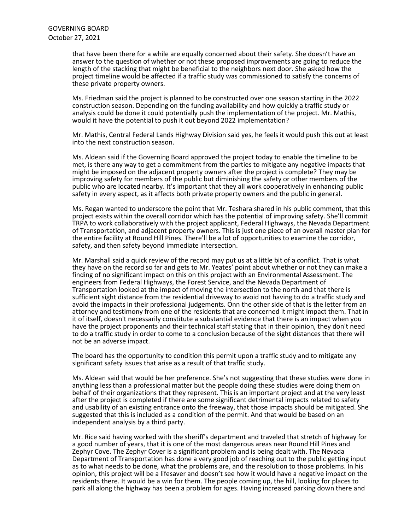that have been there for a while are equally concerned about their safety. She doesn't have an answer to the question of whether or not these proposed improvements are going to reduce the length of the stacking that might be beneficial to the neighbors next door. She asked how the project timeline would be affected if a traffic study was commissioned to satisfy the concerns of these private property owners.

Ms. Friedman said the project is planned to be constructed over one season starting in the 2022 construction season. Depending on the funding availability and how quickly a traffic study or analysis could be done it could potentially push the implementation of the project. Mr. Mathis, would it have the potential to push it out beyond 2022 implementation?

Mr. Mathis, Central Federal Lands Highway Division said yes, he feels it would push this out at least into the next construction season.

Ms. Aldean said if the Governing Board approved the project today to enable the timeline to be met, is there any way to get a commitment from the parties to mitigate any negative impacts that might be imposed on the adjacent property owners after the project is complete? They may be improving safety for members of the public but diminishing the safety or other members of the public who are located nearby. It's important that they all work cooperatively in enhancing public safety in every aspect, as it affects both private property owners and the public in general.

Ms. Regan wanted to underscore the point that Mr. Teshara shared in his public comment, that this project exists within the overall corridor which has the potential of improving safety. She'll commit TRPA to work collaboratively with the project applicant, Federal Highways, the Nevada Department of Transportation, and adjacent property owners. This is just one piece of an overall master plan for the entire facility at Round Hill Pines. There'll be a lot of opportunities to examine the corridor, safety, and then safety beyond immediate intersection.

Mr. Marshall said a quick review of the record may put us at a little bit of a conflict. That is what they have on the record so far and gets to Mr. Yeates' point about whether or not they can make a finding of no significant impact on this on this project with an Environmental Assessment. The engineers from Federal Highways, the Forest Service, and the Nevada Department of Transportation looked at the impact of moving the intersection to the north and that there is sufficient sight distance from the residential driveway to avoid not having to do a traffic study and avoid the impacts in their professional judgements. Onn the other side of that is the letter from an attorney and testimony from one of the residents that are concerned it might impact them. That in it of itself, doesn't necessarily constitute a substantial evidence that there is an impact when you have the project proponents and their technical staff stating that in their opinion, they don't need to do a traffic study in order to come to a conclusion because of the sight distances that there will not be an adverse impact.

The board has the opportunity to condition this permit upon a traffic study and to mitigate any significant safety issues that arise as a result of that traffic study.

Ms. Aldean said that would be her preference. She's not suggesting that these studies were done in anything less than a professional matter but the people doing these studies were doing them on behalf of their organizations that they represent. This is an important project and at the very least after the project is completed if there are some significant detrimental impacts related to safety and usability of an existing entrance onto the freeway, that those impacts should be mitigated. She suggested that this is included as a condition of the permit. And that would be based on an independent analysis by a third party.

Mr. Rice said having worked with the sheriff's department and traveled that stretch of highway for a good number of years, that it is one of the most dangerous areas near Round Hill Pines and Zephyr Cove. The Zephyr Cover is a significant problem and is being dealt with. The Nevada Department of Transportation has done a very good job of reaching out to the public getting input as to what needs to be done, what the problems are, and the resolution to those problems. In his opinion, this project will be a lifesaver and doesn't see how it would have a negative impact on the residents there. It would be a win for them. The people coming up, the hill, looking for places to park all along the highway has been a problem for ages. Having increased parking down there and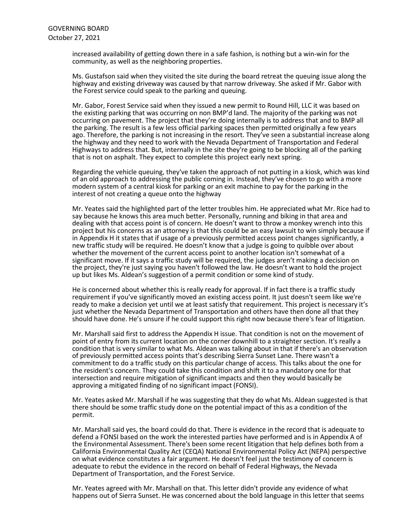increased availability of getting down there in a safe fashion, is nothing but a win-win for the community, as well as the neighboring properties.

Ms. Gustafson said when they visited the site during the board retreat the queuing issue along the highway and existing driveway was caused by that narrow driveway. She asked if Mr. Gabor with the Forest service could speak to the parking and queuing.

Mr. Gabor, Forest Service said when they issued a new permit to Round Hill, LLC it was based on the existing parking that was occurring on non BMP'd land. The majority of the parking was not occurring on pavement. The project that they're doing internally is to address that and to BMP all the parking. The result is a few less official parking spaces then permitted originally a few years ago. Therefore, the parking is not increasing in the resort. They've seen a substantial increase along the highway and they need to work with the Nevada Department of Transportation and Federal Highways to address that. But, internally in the site they're going to be blocking all of the parking that is not on asphalt. They expect to complete this project early next spring.

Regarding the vehicle queuing, they've taken the approach of not putting in a kiosk, which was kind of an old approach to addressing the public coming in. Instead, they've chosen to go with a more modern system of a central kiosk for parking or an exit machine to pay for the parking in the interest of not creating a queue onto the highway

Mr. Yeates said the highlighted part of the letter troubles him. He appreciated what Mr. Rice had to say because he knows this area much better. Personally, running and biking in that area and dealing with that access point is of concern. He doesn't want to throw a monkey wrench into this project but his concerns as an attorney is that this could be an easy lawsuit to win simply because if in Appendix H it states that if usage of a previously permitted access point changes significantly, a new traffic study will be required. He doesn't know that a judge is going to quibble over about whether the movement of the current access point to another location isn't somewhat of a significant move. If it says a traffic study will be required, the judges aren't making a decision on the project, they're just saying you haven't followed the law. He doesn't want to hold the project up but likes Ms. Aldean's suggestion of a permit condition or some kind of study.

He is concerned about whether this is really ready for approval. If in fact there is a traffic study requirement if you've significantly moved an existing access point. It just doesn't seem like we're ready to make a decision yet until we at least satisfy that requirement. This project is necessary it's just whether the Nevada Department of Transportation and others have then done all that they should have done. He's unsure if he could support this right now because there's fear of litigation.

Mr. Marshall said first to address the Appendix H issue. That condition is not on the movement of point of entry from its current location on the corner downhill to a straighter section. It's really a condition that is very similar to what Ms. Aldean was talking about in that if there's an observation of previously permitted access points that's describing Sierra Sunset Lane. There wasn't a commitment to do a traffic study on this particular change of access. This talks about the one for the resident's concern. They could take this condition and shift it to a mandatory one for that intersection and require mitigation of significant impacts and then they would basically be approving a mitigated finding of no significant impact (FONSI).

Mr. Yeates asked Mr. Marshall if he was suggesting that they do what Ms. Aldean suggested is that there should be some traffic study done on the potential impact of this as a condition of the permit.

Mr. Marshall said yes, the board could do that. There is evidence in the record that is adequate to defend a FONSI based on the work the interested parties have performed and is in Appendix A of the Environmental Assessment. There's been some recent litigation that help defines both from a California Environmental Quality Act (CEQA) National Environmental Policy Act (NEPA) perspective on what evidence constitutes a fair argument. He doesn't feel just the testimony of concern is adequate to rebut the evidence in the record on behalf of Federal Highways, the Nevada Department of Transportation, and the Forest Service.

Mr. Yeates agreed with Mr. Marshall on that. This letter didn't provide any evidence of what happens out of Sierra Sunset. He was concerned about the bold language in this letter that seems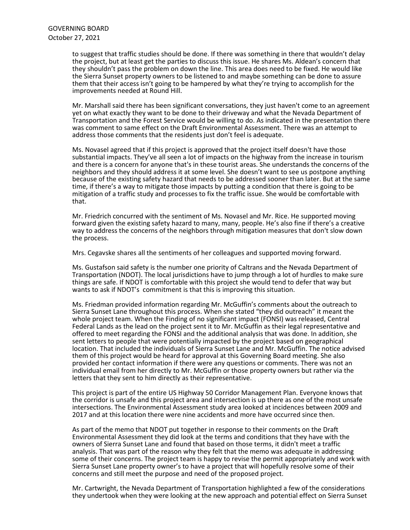to suggest that traffic studies should be done. If there was something in there that wouldn't delay the project, but at least get the parties to discuss this issue. He shares Ms. Aldean's concern that they shouldn't pass the problem on down the line. This area does need to be fixed. He would like the Sierra Sunset property owners to be listened to and maybe something can be done to assure them that their access isn't going to be hampered by what they're trying to accomplish for the improvements needed at Round Hill.

Mr. Marshall said there has been significant conversations, they just haven't come to an agreement yet on what exactly they want to be done to their driveway and what the Nevada Department of Transportation and the Forest Service would be willing to do. As indicated in the presentation there was comment to same effect on the Draft Environmental Assessment. There was an attempt to address those comments that the residents just don't feel is adequate.

Ms. Novasel agreed that if this project is approved that the project itself doesn't have those substantial impacts. They've all seen a lot of impacts on the highway from the increase in tourism and there is a concern for anyone that's in these tourist areas. She understands the concerns of the neighbors and they should address it at some level. She doesn't want to see us postpone anything because of the existing safety hazard that needs to be addressed sooner than later. But at the same time, if there's a way to mitigate those impacts by putting a condition that there is going to be mitigation of a traffic study and processes to fix the traffic issue. She would be comfortable with that.

Mr. Friedrich concurred with the sentiment of Ms. Novasel and Mr. Rice. He supported moving forward given the existing safety hazard to many, many, people. He's also fine if there's a creative way to address the concerns of the neighbors through mitigation measures that don't slow down the process.

Mrs. Cegavske shares all the sentiments of her colleagues and supported moving forward.

Ms. Gustafson said safety is the number one priority of Caltrans and the Nevada Department of Transportation (NDOT). The local jurisdictions have to jump through a lot of hurdles to make sure things are safe. If NDOT is comfortable with this project she would tend to defer that way but wants to ask if NDOT's commitment is that this is improving this situation.

Ms. Friedman provided information regarding Mr. McGuffin's comments about the outreach to Sierra Sunset Lane throughout this process. When she stated "they did outreach" it meant the whole project team. When the Finding of no significant impact (FONSI) was released, Central Federal Lands as the lead on the project sent it to Mr. McGuffin as their legal representative and offered to meet regarding the FONSI and the additional analysis that was done. In addition, she sent letters to people that were potentially impacted by the project based on geographical location. That included the individuals of Sierra Sunset Lane and Mr. McGuffin. The notice advised them of this project would be heard for approval at this Governing Board meeting. She also provided her contact information if there were any questions or comments. There was not an individual email from her directly to Mr. McGuffin or those property owners but rather via the letters that they sent to him directly as their representative.

This project is part of the entire US Highway 50 Corridor Management Plan. Everyone knows that the corridor is unsafe and this project area and intersection is up there as one of the most unsafe intersections. The Environmental Assessment study area looked at incidences between 2009 and 2017 and at this location there were nine accidents and more have occurred since then.

As part of the memo that NDOT put together in response to their comments on the Draft Environmental Assessment they did look at the terms and conditions that they have with the owners of Sierra Sunset Lane and found that based on those terms, it didn't meet a traffic analysis. That was part of the reason why they felt that the memo was adequate in addressing some of their concerns. The project team is happy to revise the permit appropriately and work with Sierra Sunset Lane property owner's to have a project that will hopefully resolve some of their concerns and still meet the purpose and need of the proposed project.

Mr. Cartwright, the Nevada Department of Transportation highlighted a few of the considerations they undertook when they were looking at the new approach and potential effect on Sierra Sunset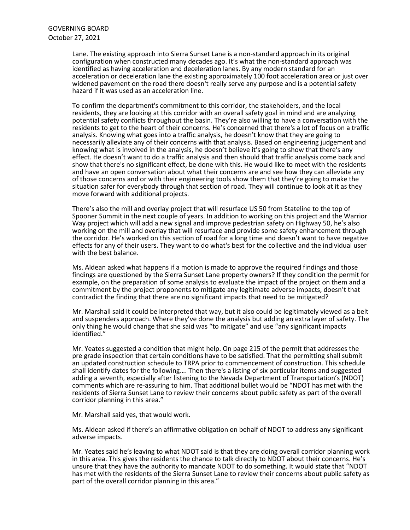Lane. The existing approach into Sierra Sunset Lane is a non-standard approach in its original configuration when constructed many decades ago. It's what the non-standard approach was identified as having acceleration and deceleration lanes. By any modern standard for an acceleration or deceleration lane the existing approximately 100 foot acceleration area or just over widened pavement on the road there doesn't really serve any purpose and is a potential safety hazard if it was used as an acceleration line.

To confirm the department's commitment to this corridor, the stakeholders, and the local residents, they are looking at this corridor with an overall safety goal in mind and are analyzing potential safety conflicts throughout the basin. They're also willing to have a conversation with the residents to get to the heart of their concerns. He's concerned that there's a lot of focus on a traffic analysis. Knowing what goes into a traffic analysis, he doesn't know that they are going to necessarily alleviate any of their concerns with that analysis. Based on engineering judgement and knowing what is involved in the analysis, he doesn't believe it's going to show that there's any effect. He doesn't want to do a traffic analysis and then should that traffic analysis come back and show that there's no significant effect, be done with this. He would like to meet with the residents and have an open conversation about what their concerns are and see how they can alleviate any of those concerns and or with their engineering tools show them that they're going to make the situation safer for everybody through that section of road. They will continue to look at it as they move forward with additional projects.

There's also the mill and overlay project that will resurface US 50 from Stateline to the top of Spooner Summit in the next couple of years. In addition to working on this project and the Warrior Way project which will add a new signal and improve pedestrian safety on Highway 50, he's also working on the mill and overlay that will resurface and provide some safety enhancement through the corridor. He's worked on this section of road for a long time and doesn't want to have negative effects for any of their users. They want to do what's best for the collective and the individual user with the best balance.

Ms. Aldean asked what happens if a motion is made to approve the required findings and those findings are questioned by the Sierra Sunset Lane property owners? If they condition the permit for example, on the preparation of some analysis to evaluate the impact of the project on them and a commitment by the project proponents to mitigate any legitimate adverse impacts, doesn't that contradict the finding that there are no significant impacts that need to be mitigated?

Mr. Marshall said it could be interpreted that way, but it also could be legitimately viewed as a belt and suspenders approach. Where they've done the analysis but adding an extra layer of safety. The only thing he would change that she said was "to mitigate" and use "any significant impacts identified."

Mr. Yeates suggested a condition that might help. On page 215 of the permit that addresses the pre grade inspection that certain conditions have to be satisfied. That the permitting shall submit an updated construction schedule to TRPA prior to commencement of construction. This schedule shall identify dates for the following…. Then there's a listing of six particular items and suggested adding a seventh, especially after listening to the Nevada Department of Transportation's (NDOT) comments which are re-assuring to him. That additional bullet would be "NDOT has met with the residents of Sierra Sunset Lane to review their concerns about public safety as part of the overall corridor planning in this area."

Mr. Marshall said yes, that would work.

Ms. Aldean asked if there's an affirmative obligation on behalf of NDOT to address any significant adverse impacts.

Mr. Yeates said he's leaving to what NDOT said is that they are doing overall corridor planning work in this area. This gives the residents the chance to talk directly to NDOT about their concerns. He's unsure that they have the authority to mandate NDOT to do something. It would state that "NDOT has met with the residents of the Sierra Sunset Lane to review their concerns about public safety as part of the overall corridor planning in this area."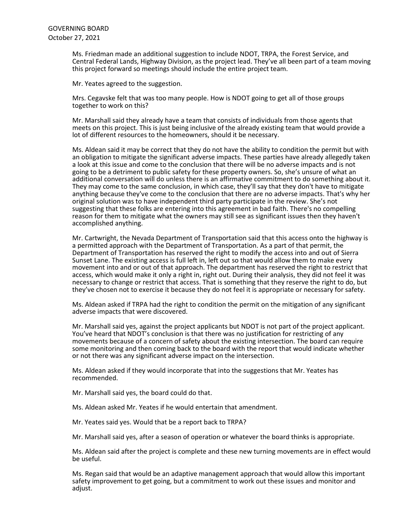Ms. Friedman made an additional suggestion to include NDOT, TRPA, the Forest Service, and Central Federal Lands, Highway Division, as the project lead. They've all been part of a team moving this project forward so meetings should include the entire project team.

Mr. Yeates agreed to the suggestion.

Mrs. Cegavske felt that was too many people. How is NDOT going to get all of those groups together to work on this?

Mr. Marshall said they already have a team that consists of individuals from those agents that meets on this project. This is just being inclusive of the already existing team that would provide a lot of different resources to the homeowners, should it be necessary.

Ms. Aldean said it may be correct that they do not have the ability to condition the permit but with an obligation to mitigate the significant adverse impacts. These parties have already allegedly taken a look at this issue and come to the conclusion that there will be no adverse impacts and is not going to be a detriment to public safety for these property owners. So, she's unsure of what an additional conversation will do unless there is an affirmative commitment to do something about it. They may come to the same conclusion, in which case, they'll say that they don't have to mitigate anything because they've come to the conclusion that there are no adverse impacts. That's why her original solution was to have independent third party participate in the review. She's not suggesting that these folks are entering into this agreement in bad faith. There's no compelling reason for them to mitigate what the owners may still see as significant issues then they haven't accomplished anything.

Mr. Cartwright, the Nevada Department of Transportation said that this access onto the highway is a permitted approach with the Department of Transportation. As a part of that permit, the Department of Transportation has reserved the right to modify the access into and out of Sierra Sunset Lane. The existing access is full left in, left out so that would allow them to make every movement into and or out of that approach. The department has reserved the right to restrict that access, which would make it only a right in, right out. During their analysis, they did not feel it was necessary to change or restrict that access. That is something that they reserve the right to do, but they've chosen not to exercise it because they do not feel it is appropriate or necessary for safety.

Ms. Aldean asked if TRPA had the right to condition the permit on the mitigation of any significant adverse impacts that were discovered.

Mr. Marshall said yes, against the project applicants but NDOT is not part of the project applicant. You've heard that NDOT's conclusion is that there was no justification for restricting of any movements because of a concern of safety about the existing intersection. The board can require some monitoring and then coming back to the board with the report that would indicate whether or not there was any significant adverse impact on the intersection.

Ms. Aldean asked if they would incorporate that into the suggestions that Mr. Yeates has recommended.

Mr. Marshall said yes, the board could do that.

Ms. Aldean asked Mr. Yeates if he would entertain that amendment.

Mr. Yeates said yes. Would that be a report back to TRPA?

Mr. Marshall said yes, after a season of operation or whatever the board thinks is appropriate.

Ms. Aldean said after the project is complete and these new turning movements are in effect would be useful.

Ms. Regan said that would be an adaptive management approach that would allow this important safety improvement to get going, but a commitment to work out these issues and monitor and adjust.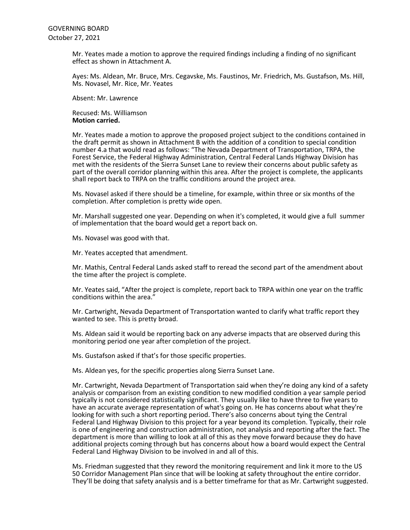Mr. Yeates made a motion to approve the required findings including a finding of no significant effect as shown in Attachment A.

Ayes: Ms. Aldean, Mr. Bruce, Mrs. Cegavske, Ms. Faustinos, Mr. Friedrich, Ms. Gustafson, Ms. Hill, Ms. Novasel, Mr. Rice, Mr. Yeates

Absent: Mr. Lawrence

Recused: Ms. Williamson **Motion carried.**

Mr. Yeates made a motion to approve the proposed project subject to the conditions contained in the draft permit as shown in Attachment B with the addition of a condition to special condition number 4.a that would read as follows: "The Nevada Department of Transportation, TRPA, the Forest Service, the Federal Highway Administration, Central Federal Lands Highway Division has met with the residents of the Sierra Sunset Lane to review their concerns about public safety as part of the overall corridor planning within this area. After the project is complete, the applicants shall report back to TRPA on the traffic conditions around the project area.

Ms. Novasel asked if there should be a timeline, for example, within three or six months of the completion. After completion is pretty wide open.

Mr. Marshall suggested one year. Depending on when it's completed, it would give a full summer of implementation that the board would get a report back on.

Ms. Novasel was good with that.

Mr. Yeates accepted that amendment.

Mr. Mathis, Central Federal Lands asked staff to reread the second part of the amendment about the time after the project is complete.

Mr. Yeates said, "After the project is complete, report back to TRPA within one year on the traffic conditions within the area."

Mr. Cartwright, Nevada Department of Transportation wanted to clarify what traffic report they wanted to see. This is pretty broad.

Ms. Aldean said it would be reporting back on any adverse impacts that are observed during this monitoring period one year after completion of the project.

Ms. Gustafson asked if that's for those specific properties.

Ms. Aldean yes, for the specific properties along Sierra Sunset Lane.

Mr. Cartwright, Nevada Department of Transportation said when they're doing any kind of a safety analysis or comparison from an existing condition to new modified condition a year sample period typically is not considered statistically significant. They usually like to have three to five years to have an accurate average representation of what's going on. He has concerns about what they're looking for with such a short reporting period. There's also concerns about tying the Central Federal Land Highway Division to this project for a year beyond its completion. Typically, their role is one of engineering and construction administration, not analysis and reporting after the fact. The department is more than willing to look at all of this as they move forward because they do have additional projects coming through but has concerns about how a board would expect the Central Federal Land Highway Division to be involved in and all of this.

Ms. Friedman suggested that they reword the monitoring requirement and link it more to the US 50 Corridor Management Plan since that will be looking at safety throughout the entire corridor. They'll be doing that safety analysis and is a better timeframe for that as Mr. Cartwright suggested.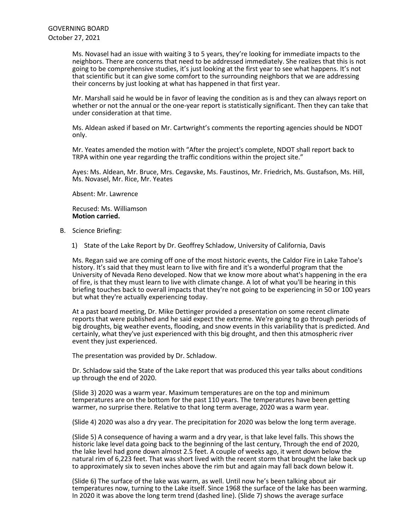Ms. Novasel had an issue with waiting 3 to 5 years, they're looking for immediate impacts to the neighbors. There are concerns that need to be addressed immediately. She realizes that this is not going to be comprehensive studies, it's just looking at the first year to see what happens. It's not that scientific but it can give some comfort to the surrounding neighbors that we are addressing their concerns by just looking at what has happened in that first year.

Mr. Marshall said he would be in favor of leaving the condition as is and they can always report on whether or not the annual or the one-year report is statistically significant. Then they can take that under consideration at that time.

Ms. Aldean asked if based on Mr. Cartwright's comments the reporting agencies should be NDOT only.

Mr. Yeates amended the motion with "After the project's complete, NDOT shall report back to TRPA within one year regarding the traffic conditions within the project site."

Ayes: Ms. Aldean, Mr. Bruce, Mrs. Cegavske, Ms. Faustinos, Mr. Friedrich, Ms. Gustafson, Ms. Hill, Ms. Novasel, Mr. Rice, Mr. Yeates

Absent: Mr. Lawrence

Recused: Ms. Williamson **Motion carried.**

- B. Science Briefing:
	- 1) State of the Lake Report by Dr. Geoffrey Schladow, University of California, Davis

Ms. Regan said we are coming off one of the most historic events, the Caldor Fire in Lake Tahoe's history. It's said that they must learn to live with fire and it's a wonderful program that the University of Nevada Reno developed. Now that we know more about what's happening in the era of fire, is that they must learn to live with climate change. A lot of what you'll be hearing in this briefing touches back to overall impacts that they're not going to be experiencing in 50 or 100 years but what they're actually experiencing today.

At a past board meeting, Dr. Mike Dettinger provided a presentation on some recent climate reports that were published and he said expect the extreme. We're going to go through periods of big droughts, big weather events, flooding, and snow events in this variability that is predicted. And certainly, what they've just experienced with this big drought, and then this atmospheric river event they just experienced.

The presentation was provided by Dr. Schladow.

Dr. Schladow said the State of the Lake report that was produced this year talks about conditions up through the end of 2020.

(Slide 3) 2020 was a warm year. Maximum temperatures are on the top and minimum temperatures are on the bottom for the past 110 years. The temperatures have been getting warmer, no surprise there. Relative to that long term average, 2020 was a warm year.

(Slide 4) 2020 was also a dry year. The precipitation for 2020 was below the long term average.

(Slide 5) A consequence of having a warm and a dry year, is that lake level falls. This shows the historic lake level data going back to the beginning of the last century, Through the end of 2020, the lake level had gone down almost 2.5 feet. A couple of weeks ago, it went down below the natural rim of 6,223 feet. That was short lived with the recent storm that brought the lake back up to approximately six to seven inches above the rim but and again may fall back down below it.

(Slide 6) The surface of the lake was warm, as well. Until now he's been talking about air temperatures now, turning to the Lake itself. Since 1968 the surface of the lake has been warming. In 2020 it was above the long term trend (dashed line). (Slide 7) shows the average surface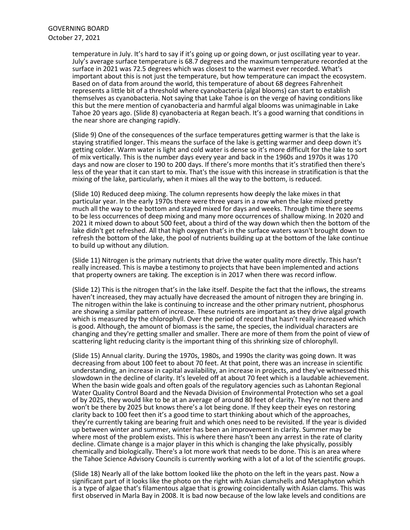temperature in July. It's hard to say if it's going up or going down, or just oscillating year to year. July's average surface temperature is 68.7 degrees and the maximum temperature recorded at the surface in 2021 was 72.5 degrees which was closest to the warmest ever recorded. What's important about this is not just the temperature, but how temperature can impact the ecosystem. Based on of data from around the world, this temperature of about 68 degrees Fahrenheit represents a little bit of a threshold where cyanobacteria (algal blooms) can start to establish themselves as cyanobacteria. Not saying that Lake Tahoe is on the verge of having conditions like this but the mere mention of cyanobacteria and harmful algal blooms was unimaginable in Lake Tahoe 20 years ago. (Slide 8) cyanobacteria at Regan beach. It's a good warning that conditions in the near shore are changing rapidly.

(Slide 9) One of the consequences of the surface temperatures getting warmer is that the lake is staying stratified longer. This means the surface of the lake is getting warmer and deep down it's getting colder. Warm water is light and cold water is dense so it's more difficult for the lake to sort of mix vertically. This is the number days every year and back in the 1960s and 1970s it was 170 days and now are closer to 190 to 200 days. If there's more months that it's stratified then there's less of the year that it can start to mix. That's the issue with this increase in stratification is that the mixing of the lake, particularly, when it mixes all the way to the bottom, is reduced.

(Slide 10) Reduced deep mixing. The column represents how deeply the lake mixes in that particular year. In the early 1970s there were three years in a row when the lake mixed pretty much all the way to the bottom and stayed mixed for days and weeks. Through time there seems to be less occurrences of deep mixing and many more occurrences of shallow mixing. In 2020 and 2021 it mixed down to about 500 feet, about a third of the way down which then the bottom of the lake didn't get refreshed. All that high oxygen that's in the surface waters wasn't brought down to refresh the bottom of the lake, the pool of nutrients building up at the bottom of the lake continue to build up without any dilution.

(Slide 11) Nitrogen is the primary nutrients that drive the water quality more directly. This hasn't really increased. This is maybe a testimony to projects that have been implemented and actions that property owners are taking. The exception is in 2017 when there was record inflow.

(Slide 12) This is the nitrogen that's in the lake itself. Despite the fact that the inflows, the streams haven't increased, they may actually have decreased the amount of nitrogen they are bringing in. The nitrogen within the lake is continuing to increase and the other primary nutrient, phosphorus are showing a similar pattern of increase. These nutrients are important as they drive algal growth which is measured by the chlorophyll. Over the period of record that hasn't really increased which is good. Although, the amount of biomass is the same, the species, the individual characters are changing and they're getting smaller and smaller. There are more of them from the point of view of scattering light reducing clarity is the important thing of this shrinking size of chlorophyll.

(Slide 15) Annual clarity. During the 1970s, 1980s, and 1990s the clarity was going down. It was decreasing from about 100 feet to about 70 feet. At that point, there was an increase in scientific understanding, an increase in capital availability, an increase in projects, and they've witnessed this slowdown in the decline of clarity. It's leveled off at about 70 feet which is a laudable achievement. When the basin wide goals and often goals of the regulatory agencies such as Lahontan Regional Water Quality Control Board and the Nevada Division of Environmental Protection who set a goal of by 2025, they would like to be at an average of around 80 feet of clarity. They're not there and won't be there by 2025 but knows there's a lot being done. If they keep their eyes on restoring clarity back to 100 feet then it's a good time to start thinking about which of the approaches, they're currently taking are bearing fruit and which ones need to be revisited. If the year is divided up between winter and summer, winter has been an improvement in clarity. Summer may be where most of the problem exists. This is where there hasn't been any arrest in the rate of clarity decline. Climate change is a major player in this which is changing the lake physically, possibly chemically and biologically. There's a lot more work that needs to be done. This is an area where the Tahoe Science Advisory Councils is currently working with a lot of a lot of the scientific groups.

(Slide 18) Nearly all of the lake bottom looked like the photo on the left in the years past. Now a significant part of it looks like the photo on the right with Asian clamshells and Metaphyton which is a type of algae that's filamentous algae that is growing coincidentally with Asian clams. This was first observed in Marla Bay in 2008. It is bad now because of the low lake levels and conditions are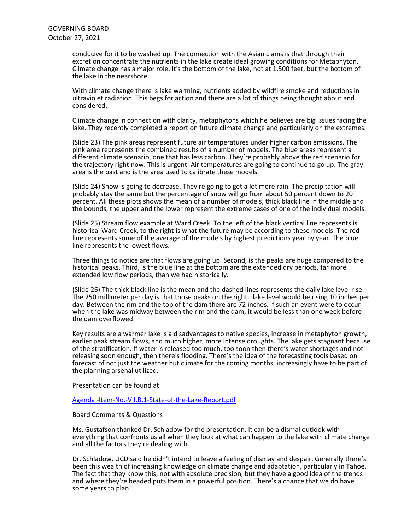conducive for it to be washed up. The connection with the Asian clams is that through their excretion concentrate the nutrients in the lake create ideal growing conditions for Metaphyton. Climate change has a major role. It's the bottom of the lake, not at 1,500 feet, but the bottom of the lake in the nearshore.

With climate change there is lake warming, nutrients added by wildfire smoke and reductions in ultraviolet radiation. This begs for action and there are a lot of things being thought about and considered.

Climate change in connection with clarity, metaphytons which he believes are big issues facing the lake. They recently completed a report on future climate change and particularly on the extremes.

(Slide 23) The pink areas represent future air temperatures under higher carbon emissions. The pink area represents the combined results of a number of models. The blue areas represent a different climate scenario, one that has less carbon. They're probably above the red scenario for the trajectory right now. This is urgent. Air temperatures are going to continue to go up. The gray area is the past and is the area used to calibrate these models.

(Slide 24) Snow is going to decrease. They're going to get a lot more rain. The precipitation will probably stay the same but the percentage of snow will go from about 50 percent down to 20 percent. All these plots shows the mean of a number of models, thick black line in the middle and the bounds, the upper and the lower represent the extreme cases of one of the individual models.

(Slide 25) Stream flow example at Ward Creek. To the left of the black vertical line represents is historical Ward Creek, to the right is what the future may be according to these models. The red line represents some of the average of the models by highest predictions year by year. The blue line represents the lowest flows.

Three things to notice are that flows are going up. Second, is the peaks are huge compared to the historical peaks. Third, is the blue line at the bottom are the extended dry periods, far more extended low flow periods, than we had historically.

(Slide 26) The thick black line is the mean and the dashed lines represents the daily lake level rise. The 250 millimeter per day is that those peaks on the right, lake level would be rising 10 inches per day. Between the rim and the top of the dam there are 72 inches. If such an event were to occur when the lake was midway between the rim and the dam, it would be less than one week before the dam overflowed.

Key results are a warmer lake is a disadvantages to native species, increase in metaphyton growth, earlier peak<br>earlier peak stream flows, and much higher, more intense droughts. The lake gets stagnant because of the stratification. If water is released too much, too soon then there's water shortages and not releasing soon enough, then there's flooding. There's the idea of the forecasting tools based on forecast of not just the weather but climate for the coming months, increasingly have to be part of the planning arsenal utilized.

Presentation can be found at:

[Agenda -Item-No.-VII.B.1-State-of-the-Lake-Report.pdf](https://www.trpa.gov/wp-content/uploads/Agenda-Item-No.-VII.B.1-State-of-the-Lake-Report.pdf)

### Board Comments & Questions

Ms. Gustafson thanked Dr. Schladow for the presentation. It can be a dismal outlook with everything that confronts us all when they look at what can happen to the lake with climate change and all the factors they're dealing with.

Dr. Schladow, UCD said he didn't intend to leave a feeling of dismay and despair. Generally there's been this wealth of increasing knowledge on climate change and adaptation, particularly in Tahoe. The fact that they know this, not with absolute precision, but they have a good idea of the trends and where they're headed puts them in a powerful position. There's a chance that we do have some years to plan.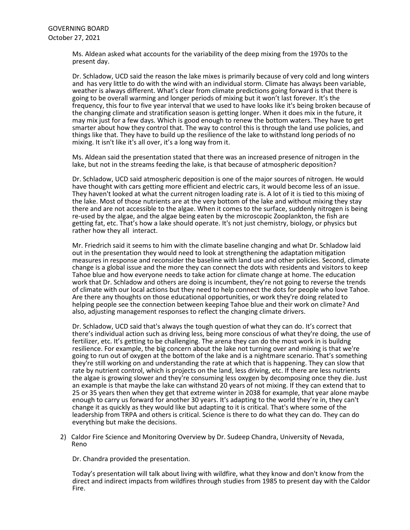Ms. Aldean asked what accounts for the variability of the deep mixing from the 1970s to the present day.

Dr. Schladow, UCD said the reason the lake mixes is primarily because of very cold and long winters and has very little to do with the wind with an individual storm. Climate has always been variable. weather is always different. What's clear from climate predictions going forward is that there is going to be overall warming and longer periods of mixing but it won't last forever. It's the frequency, this four to five year interval that we used to have looks like it's being broken because of the changing climate and stratification season is getting longer. When it does mix in the future, it may mix just for a few days. Which is good enough to renew the bottom waters. They have to get smarter about how they control that. The way to control this is through the land use policies, and things like that. They have to build up the resilience of the lake to withstand long periods of no mixing. It isn't like it's all over, it's a long way from it.

Ms. Aldean said the presentation stated that there was an increased presence of nitrogen in the lake, but not in the streams feeding the lake, is that because of atmospheric deposition?

Dr. Schladow, UCD said atmospheric deposition is one of the major sources of nitrogen. He would have thought with cars getting more efficient and electric cars, it would become less of an issue. They haven't looked at what the current nitrogen loading rate is. A lot of it is tied to this mixing of the lake. Most of those nutrients are at the very bottom of the lake and without mixing they stay there and are not accessible to the algae. When it comes to the surface, suddenly nitrogen is being re-used by the algae, and the algae being eaten by the microscopic Zooplankton, the fish are getting fat, etc. That's how a lake should operate. It's not just chemistry, biology, or physics but rather how they all interact.

Mr. Friedrich said it seems to him with the climate baseline changing and what Dr. Schladow laid out in the presentation they would need to look at strengthening the adaptation mitigation measures in response and reconsider the baseline with land use and other policies. Second, climate change is a global issue and the more they can connect the dots with residents and visitors to keep Tahoe blue and how everyone needs to take action for climate change at home. The education work that Dr. Schladow and others are doing is incumbent, they're not going to reverse the trends of climate with our local actions but they need to help connect the dots for people who love Tahoe. Are there any thoughts on those educational opportunities, or work they're doing related to helping people see the connection between keeping Tahoe blue and their work on climate? And also, adjusting management responses to reflect the changing climate drivers.

Dr. Schladow, UCD said that's always the tough question of what they can do. It's correct that there's individual action such as driving less, being more conscious of what they're doing, the use of fertilizer, etc. It's getting to be challenging. The arena they can do the most work in is buildng resilience. For example, the big concern about the lake not turning over and mixing is that we're going to run out of oxygen at the bottom of the lake and is a nightmare scenario. That's something they're still working on and understanding the rate at which that is happening. They can slow that rate by nutrient control, which is projects on the land, less driving, etc. If there are less nutrients the algae is growing slower and they're consuming less oxygen by decomposing once they die. Just an example is that maybe the lake can withstand 20 years of not mixing. If they can extend that to 25 or 35 years then when they get that extreme winter in 2038 for example, that year alone maybe enough to carry us forward for another 30 years. It's adapting to the world they're in, they can't change it as quickly as they would like but adapting to it is critical. That's where some of the leadership from TRPA and others is critical. Science is there to do what they can do. They can do everything but make the decisions.

2) Caldor Fire Science and Monitoring Overview by Dr. Sudeep Chandra, University of Nevada, Reno

Dr. Chandra provided the presentation.

Today's presentation will talk about living with wildfire, what they know and don't know from the direct and indirect impacts from wildfires through studies from 1985 to present day with the Caldor Fire.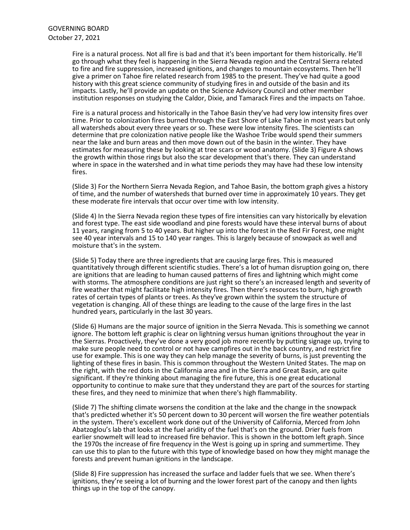Fire is a natural process. Not all fire is bad and that it's been important for them historically. He'll go through what they feel is happening in the Sierra Nevada region and the Central Sierra related to fire and fire suppression, increased ignitions, and changes to mountain ecosystems. Then he'll give a primer on Tahoe fire related research from 1985 to the present. They've had quite a good history with this great science community of studying fires in and outside of the basin and its impacts. Lastly, he'll provide an update on the Science Advisory Council and other member institution responses on studying the Caldor, Dixie, and Tamarack Fires and the impacts on Tahoe.

Fire is a natural process and historically in the Tahoe Basin they've had very low intensity fires over time. Prior to colonization fires burned through the East Shore of Lake Tahoe in most years but only all watersheds about every three years or so. These were low intensity fires. The scientists can determine that pre colonization native people like the Washoe Tribe would spend their summers near the lake and burn areas and then move down out of the basin in the winter. They have estimates for measuring these by looking at tree scars or wood anatomy. (Slide 3) Figure A shows the growth within those rings but also the scar development that's there. They can understand where in space in the watershed and in what time periods they may have had these low intensity fires.

(Slide 3) For the Northern Sierra Nevada Region, and Tahoe Basin, the bottom graph gives a history of time, and the number of watersheds that burned over time in approximately 10 years. They get these moderate fire intervals that occur over time with low intensity.

(Slide 4) In the Sierra Nevada region these types of fire intensities can vary historically by elevation and forest type. The east side woodland and pine forests would have these interval burns of about 11 years, ranging from 5 to 40 years. But higher up into the forest in the Red Fir Forest, one might see 40 year intervals and 15 to 140 year ranges. This is largely because of snowpack as well and moisture that's in the system.

(Slide 5) Today there are three ingredients that are causing large fires. This is measured quantitatively through different scientific studies. There's a lot of human disruption going on, there are ignitions that are leading to human caused patterns of fires and lightning which might come with storms. The atmosphere conditions are just right so there's an increased length and severity of fire weather that might facilitate high intensity fires. Then there's resources to burn, high growth rates of certain types of plants or trees. As they've grown within the system the structure of vegetation is changing. All of these things are leading to the cause of the large fires in the last hundred years, particularly in the last 30 years.

(Slide 6) Humans are the major source of ignition in the Sierra Nevada. This is something we cannot ignore. The bottom left graphic is clear on lightning versus human ignitions throughout the year in the Sierras. Proactively, they've done a very good job more recently by putting signage up, trying to make sure people need to control or not have campfires out in the back country, and restrict fire use for example. This is one way they can help manage the severity of burns, is just preventing the lighting of these fires in basin. This is common throughout the Western United States. The map on the right, with the red dots in the California area and in the Sierra and Great Basin, are quite significant. If they're thinking about managing the fire future, this is one great educational opportunity to continue to make sure that they understand they are part of the sources for starting these fires, and they need to minimize that when there's high flammability.

(Slide 7) The shifting climate worsens the condition at the lake and the change in the snowpack that's predicted whether it's 50 percent down to 30 percent will worsen the fire weather potentials in the system. There's excellent work done out of the University of California, Merced from John Abatzoglou's lab that looks at the fuel aridity of the fuel that's on the ground. Drier fuels from earlier snowmelt will lead to increased fire behavior. This is shown in the bottom left graph. Since the 1970s the increase of fire frequency in the West is going up in spring and summertime. They can use this to plan to the future with this type of knowledge based on how they might manage the forests and prevent human ignitions in the landscape.

(Slide 8) Fire suppression has increased the surface and ladder fuels that we see. When there's ignitions, they're seeing a lot of burning and the lower forest part of the canopy and then lights things up in the top of the canopy.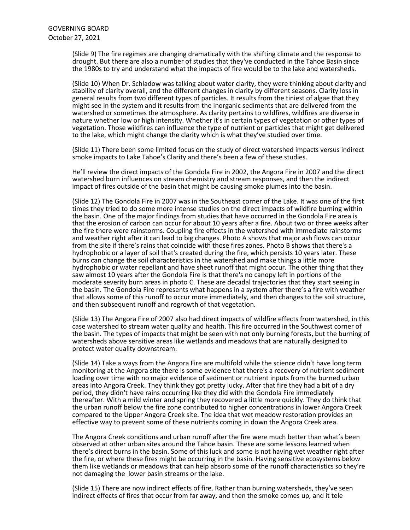(Slide 9) The fire regimes are changing dramatically with the shifting climate and the response to drought. But there are also a number of studies that they've conducted in the Tahoe Basin since the 1980s to try and understand what the impacts of fire would be to the lake and watersheds.

(Slide 10) When Dr. Schladow was talking about water clarity, they were thinking about clarity and stability of clarity overall, and the different changes in clarity by different seasons. Clarity loss in general results from two different types of particles. It results from the tiniest of algae that they might see in the system and it results from the inorganic sediments that are delivered from the watershed or sometimes the atmosphere. As clarity pertains to wildfires, wildfires are diverse in nature whether low or high intensity. Whether it's in certain types of vegetation or other types of vegetation. Those wildfires can influence the type of nutrient or particles that might get delivered to the lake, which might change the clarity which is what they've studied over time.

(Slide 11) There been some limited focus on the study of direct watershed impacts versus indirect smoke impacts to Lake Tahoe's Clarity and there's been a few of these studies.

He'll review the direct impacts of the Gondola Fire in 2002, the Angora Fire in 2007 and the direct watershed burn influences on stream chemistry and stream responses, and then the indirect impact of fires outside of the basin that might be causing smoke plumes into the basin.

(Slide 12) The Gondola Fire in 2007 was in the Southeast corner of the Lake. It was one of the first times they tried to do some more intense studies on the direct impacts of wildfire burning within the basin. One of the major findings from studies that have occurred in the Gondola Fire area is that the erosion of carbon can occur for about 10 years after a fire. About two or three weeks after the fire there were rainstorms. Coupling fire effects in the watershed with immediate rainstorms and weather right after it can lead to big changes. Photo A shows that major ash flows can occur from the site if there's rains that coincide with those fires zones. Photo B shows that there's a hydrophobic or a layer of soil that's created during the fire, which persists 10 years later. These burns can change the soil characteristics in the watershed and make things a little more hydrophobic or water repellant and have sheet runoff that might occur. The other thing that they saw almost 10 years after the Gondola Fire is that there's no canopy left in portions of the moderate severity burn areas in photo C. These are decadal trajectories that they start seeing in the basin. The Gondola Fire represents what happens in a system after there's a fire with weather that allows some of this runoff to occur more immediately, and then changes to the soil structure, and then subsequent runoff and regrowth of that vegetation.

(Slide 13) The Angora Fire of 2007 also had direct impacts of wildfire effects from watershed, in this case watershed to stream water quality and health. This fire occurred in the Southwest corner of the basin. The types of impacts that might be seen with not only burning forests, but the burning of watersheds above sensitive areas like wetlands and meadows that are naturally designed to protect water quality downstream.

(Slide 14) Take a ways from the Angora Fire are multifold while the science didn't have long term monitoring at the Angora site there is some evidence that there's a recovery of nutrient sediment loading over time with no major evidence of sediment or nutrient inputs from the burned urban areas into Angora Creek. They think they got pretty lucky. After that fire they had a bit of a dry period, they didn't have rains occurring like they did with the Gondola Fire immediately thereafter. With a mild winter and spring they recovered a little more quickly. They do think that the urban runoff below the fire zone contributed to higher concentrations in lower Angora Creek compared to the Upper Angora Creek site. The idea that wet meadow restoration provides an effective way to prevent some of these nutrients coming in down the Angora Creek area.

The Angora Creek conditions and urban runoff after the fire were much better than what's been observed at other urban sites around the Tahoe basin. These are some lessons learned when there's direct burns in the basin. Some of this luck and some is not having wet weather right after the fire, or where these fires might be occurring in the basin. Having sensitive ecosystems below them like wetlands or meadows that can help absorb some of the runoff characteristics so they're not damaging the lower basin streams or the lake.

(Slide 15) There are now indirect effects of fire. Rather than burning watersheds, they've seen indirect effects of fires that occur from far away, and then the smoke comes up, and it tele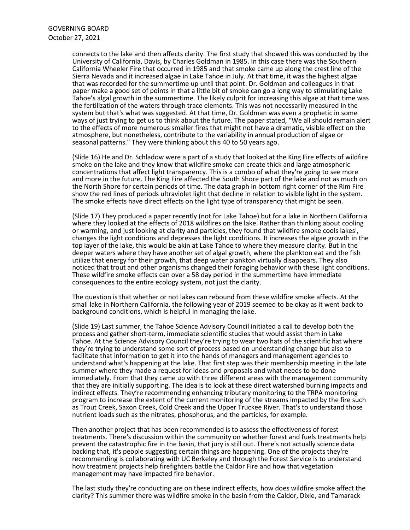connects to the lake and then affects clarity. The first study that showed this was conducted by the University of California, Davis, by Charles Goldman in 1985. In this case there was the Southern California Wheeler Fire that occurred in 1985 and that smoke came up along the crest line of the Sierra Nevada and it increased algae in Lake Tahoe in July. At that time, it was the highest algae that was recorded for the summertime up until that point. Dr. Goldman and colleagues in that paper make a good set of points in that a little bit of smoke can go a long way to stimulating Lake Tahoe's algal growth in the summertime. The likely culprit for increasing this algae at that time was the fertilization of the waters through trace elements. This was not necessarily measured in the system but that's what was suggested. At that time, Dr. Goldman was even a prophetic in some ways of just trying to get us to think about the future. The paper stated, "We all should remain alert to the effects of more numerous smaller fires that might not have a dramatic, visible effect on the atmosphere, but nonetheless, contribute to the variability in annual production of algae or seasonal patterns." They were thinking about this 40 to 50 years ago.

(Slide 16) He and Dr. Schladow were a part of a study that looked at the King Fire effects of wildfire smoke on the lake and they know that wildfire smoke can create thick and large atmospheric concentrations that affect light transparency. This is a combo of what they're going to see more and more in the future. The King Fire affected the South Shore part of the lake and not as much on the North Shore for certain periods of time. The data graph in bottom right corner of the Rim Fire show the red lines of periods ultraviolet light that decline in relation to visible light in the system. The smoke effects have direct effects on the light type of transparency that might be seen.

(Slide 17) They produced a paper recently (not for Lake Tahoe) but for a lake in Northern California where they looked at the effects of 2018 wildfires on the lake. Rather than thinking about cooling or warming, and just looking at clarity and particles, they found that wildfire smoke cools lakes', changes the light conditions and depresses the light conditions. It increases the algae growth in the top layer of the lake, this would be akin at Lake Tahoe to where they measure clarity. But in the deeper waters where they have another set of algal growth, where the plankton eat and the fish utilize that energy for their growth, that deep water plankton virtually disappears. They also noticed that trout and other organisms changed their foraging behavior with these light conditions. These wildfire smoke effects can over a 58 day period in the summertime have immediate consequences to the entire ecology system, not just the clarity.

The question is that whether or not lakes can rebound from these wildfire smoke affects. At the small lake in Northern California, the following year of 2019 seemed to be okay as it went back to background conditions, which is helpful in managing the lake.

(Slide 19) Last summer, the Tahoe Science Advisory Council initiated a call to develop both the process and gather short-term, immediate scientific studies that would assist them in Lake Tahoe. At the Science Advisory Council they're trying to wear two hats of the scientific hat where they're trying to understand some sort of process based on understanding change but also to facilitate that information to get it into the hands of managers and management agencies to understand what's happening at the lake. That first step was their membership meeting in the late summer where they made a request for ideas and proposals and what needs to be done immediately. From that they came up with three different areas with the management community that they are initially supporting. The idea is to look at these direct watershed burning impacts and indirect effects. They're recommending enhancing tributary monitoring to the TRPA monitoring program to increase the extent of the current monitoring of the streams impacted by the fire such as Trout Creek, Saxon Creek, Cold Creek and the Upper Truckee River. That's to understand those nutrient loads such as the nitrates, phosphorus, and the particles, for example.

Then another project that has been recommended is to assess the effectiveness of forest treatments. There's discussion within the community on whether forest and fuels treatments help prevent the catastrophic fire in the basin, that jury is still out. There's not actually science data backing that, it's people suggesting certain things are happening. One of the projects they're recommending is collaborating with UC Berkeley and through the Forest Service is to understand how treatment projects help firefighters battle the Caldor Fire and how that vegetation management may have impacted fire behavior.

The last study they're conducting are on these indirect effects, how does wildfire smoke affect the clarity? This summer there was wildfire smoke in the basin from the Caldor, Dixie, and Tamarack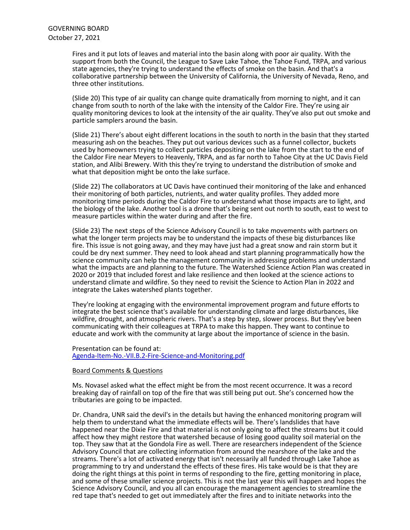Fires and it put lots of leaves and material into the basin along with poor air quality. With the support from both the Council, the League to Save Lake Tahoe, the Tahoe Fund, TRPA, and various state agencies, they're trying to understand the effects of smoke on the basin. And that's a collaborative partnership between the University of California, the University of Nevada, Reno, and three other institutions.

(Slide 20) This type of air quality can change quite dramatically from morning to night, and it can change from south to north of the lake with the intensity of the Caldor Fire. They're using air quality monitoring devices to look at the intensity of the air quality. They've also put out smoke and particle samplers around the basin.

(Slide 21) There's about eight different locations in the south to north in the basin that they started measuring ash on the beaches. They put out various devices such as a funnel collector, buckets used by homeowners trying to collect particles depositing on the lake from the start to the end of the Caldor Fire near Meyers to Heavenly, TRPA, and as far north to Tahoe City at the UC Davis Field station, and Alibi Brewery. With this they're trying to understand the distribution of smoke and what that deposition might be onto the lake surface.

(Slide 22) The collaborators at UC Davis have continued their monitoring of the lake and enhanced their monitoring of both particles, nutrients, and water quality profiles. They added more monitoring time periods during the Caldor Fire to understand what those impacts are to light, and the biology of the lake. Another tool is a drone that's being sent out north to south, east to west to measure particles within the water during and after the fire.

(Slide 23) The next steps of the Science Advisory Council is to take movements with partners on what the longer term projects may be to understand the impacts of these big disturbances like fire. This issue is not going away, and they may have just had a great snow and rain storm but it could be dry next summer. They need to look ahead and start planning programmatically how the science community can help the management community in addressing problems and understand what the impacts are and planning to the future. The Watershed Science Action Plan was created in 2020 or 2019 that included forest and lake resilience and then looked at the science actions to understand climate and wildfire. So they need to revisit the Science to Action Plan in 2022 and integrate the Lakes watershed plants together.

They're looking at engaging with the environmental improvement program and future efforts to integrate the best science that's available for understanding climate and large disturbances, like wildfire, drought, and atmospheric rivers. That's a step by step, slower process. But they've been communicating with their colleagues at TRPA to make this happen. They want to continue to educate and work with the community at large about the importance of science in the basin.

Presentation can be found at: [Agenda-Item-No.-VII.B.2-Fire-Science-and-Monitoring.pdf](https://www.trpa.gov/wp-content/uploads/Agenda-Item-No.-VII.B.2-Fire-Science-and-Monitoring.pdf)

### Board Comments & Questions

Ms. Novasel asked what the effect might be from the most recent occurrence. It was a record breaking day of rainfall on top of the fire that was still being put out. She's concerned how the tributaries are going to be impacted.

Dr. Chandra, UNR said the devil's in the details but having the enhanced monitoring program will help them to understand what the immediate effects will be. There's landslides that have happened near the Dixie Fire and that material is not only going to affect the streams but it could affect how they might restore that watershed because of losing good quality soil material on the top. They saw that at the Gondola Fire as well. There are researchers independent of the Science Advisory Council that are collecting information from around the nearshore of the lake and the streams. There's a lot of activated energy that isn't necessarily all funded through Lake Tahoe as programming to try and understand the effects of these fires. His take would be is that they are doing the right things at this point in terms of responding to the fire, getting monitoring in place, and some of these smaller science projects. This is not the last year this will happen and hopes the Science Advisory Council, and you all can encourage the management agencies to streamline the red tape that's needed to get out immediately after the fires and to initiate networks into the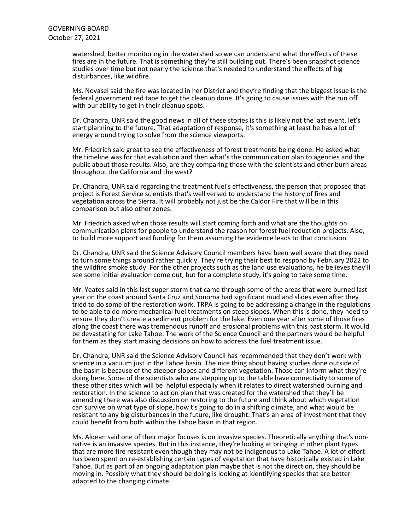watershed, better monitoring in the watershed so we can understand what the effects of these fires are in the future. That is something they're still building out. There's been snapshot science studies over time but not nearly the science that's needed to understand the effects of big disturbances, like wildfire.

Ms. Novasel said the fire was located in her District and they're finding that the biggest issue is the federal government red tape to get the cleanup done. It's going to cause issues with the run off with our ability to get in their cleanup spots.

Dr. Chandra, UNR said the good news in all of these stories is this is likely not the last event, let's start planning to the future. That adaptation of response, it's something at least he has a lot of energy around trying to solve from the science viewports.

Mr. Friedrich said great to see the effectiveness of forest treatments being done. He asked what the timeline was for that evaluation and then what's the communication plan to agencies and the public about those results. Also, are they comparing those with the scientists and other burn areas throughout the California and the west?

Dr. Chandra, UNR said regarding the treatment fuel's effectiveness, the person that proposed that project is Forest Service scientists that's well versed to understand the history of fires and vegetation across the Sierra. It will probably not just be the Caldor Fire that will be in this comparison but also other zones.

Mr. Friedrich asked when those results will start coming forth and what are the thoughts on communication plans for people to understand the reason for forest fuel reduction projects. Also, to build more support and funding for them assuming the evidence leads to that conclusion.

Dr. Chandra, UNR said the Science Advisory Council members have been well aware that they need to turn some things around rather quickly. They're trying their best to respond by February 2022 to the wildfire smoke study. For the other projects such as the land use evaluations, he believes they'll see some initial evaluation come out, but for a complete study, it's going to take some time.

Mr. Yeates said in this last super storm that came through some of the areas that were burned last year on the coast around Santa Cruz and Sonoma had significant mud and slides even after they tried to do some of the restoration work. TRPA is going to be addressing a change in the regulations to be able to do more mechanical fuel treatments on steep slopes. When this is done, they need to ensure they don't create a sediment problem for the lake. Even one year after some of those fires along the coast there was tremendous runoff and erosional problems with this past storm. It would be devastating for Lake Tahoe. The work of the Science Council and the partners would be helpful for them as they start making decisions on how to address the fuel treatment issue.

Dr. Chandra, UNR said the Science Advisory Council has recommended that they don't work with science in a vacuum just in the Tahoe basin. The nice thing about having studies done outside of the basin is because of the steeper slopes and different vegetation. Those can inform what they're doing here. Some of the scientists who are stepping up to the table have connectivity to some of these other sites which will be helpful especially when it relates to direct watershed burning and restoration. In the science to action plan that was created for the watershed that they'll be amending there was also discussion on restoring to the future and think about which vegetation can survive on what type of slope, how t's going to do in a shifting climate, and what would be resistant to any big disturbances in the future, like drought. That's an area of investment that they could benefit from both within the Tahoe basin in that region.

Ms. Aldean said one of their major focuses is on invasive species. Theoretically anything that's non-<br>native is an invasive species. But in this instance, they're looking at bringing in other plant types that are more fire resistant even though they may not be indigenous to Lake Tahoe. A lot of effort has been spent on re-establishing certain types of vegetation that have historically existed in Lake Tahoe. But as part of an ongoing adaptation plan maybe that is not the direction, they should be moving in. Possibly what they should be doing is looking at identifying species that are better adapted to the changing climate.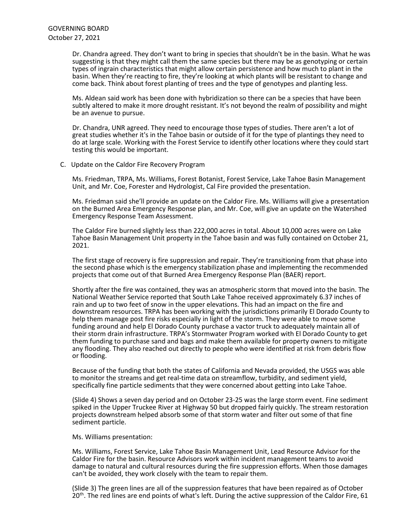Dr. Chandra agreed. They don't want to bring in species that shouldn't be in the basin. What he was suggesting is that they might call them the same species but there may be as genotyping or certain types of ingrain characteristics that might allow certain persistence and how much to plant in the basin. When they're reacting to fire, they're looking at which plants will be resistant to change and come back. Think about forest planting of trees and the type of genotypes and planting less.

Ms. Aldean said work has been done with hybridization so there can be a species that have been subtly altered to make it more drought resistant. It's not beyond the realm of possibility and might be an avenue to pursue.

Dr. Chandra, UNR agreed. They need to encourage those types of studies. There aren't a lot of great studies whether it's in the Tahoe basin or outside of it for the type of plantings they need to do at large scale. Working with the Forest Service to identify other locations where they could start testing this would be important.

C. Update on the Caldor Fire Recovery Program

 Ms. Friedman, TRPA, Ms. Williams, Forest Botanist, Forest Service, Lake Tahoe Basin Management Unit, and Mr. Coe, Forester and Hydrologist, Cal Fire provided the presentation.

Ms. Friedman said she'll provide an update on the Caldor Fire. Ms. Williams will give a presentation on the Burned Area Emergency Response plan, and Mr. Coe, will give an update on the Watershed Emergency Response Team Assessment.

The Caldor Fire burned slightly less than 222,000 acres in total. About 10,000 acres were on Lake Tahoe Basin Management Unit property in the Tahoe basin and was fully contained on October 21, 2021.

The first stage of recovery is fire suppression and repair. They're transitioning from that phase into the second phase which is the emergency stabilization phase and implementing the recommended projects that come out of that Burned Area Emergency Response Plan (BAER) report.

Shortly after the fire was contained, they was an atmospheric storm that moved into the basin. The National Weather Service reported that South Lake Tahoe received approximately 6.37 inches of rain and up to two feet of snow in the upper elevations. This had an impact on the fire and downstream resources. TRPA has been working with the jurisdictions primarily El Dorado County to help them manage post fire risks especially in light of the storm. They were able to move some funding around and help El Dorado County purchase a vactor truck to adequately maintain all of their storm drain infrastructure. TRPA's Stormwater Program worked with El Dorado County to get them funding to purchase sand and bags and make them available for property owners to mitigate any flooding. They also reached out directly to people who were identified at risk from debris flow or flooding.

Because of the funding that both the states of California and Nevada provided, the USGS was able to monitor the streams and get real-time data on streamflow, turbidity, and sediment yield, specifically fine particle sediments that they were concerned about getting into Lake Tahoe.

(Slide 4) Shows a seven day period and on October 23-25 was the large storm event. Fine sediment spiked in the Upper Truckee River at Highway 50 but dropped fairly quickly. The stream restoration projects downstream helped absorb some of that storm water and filter out some of that fine sediment particle.

Ms. Williams presentation:

Ms. Williams, Forest Service, Lake Tahoe Basin Management Unit, Lead Resource Advisor for the Caldor Fire for the basin. Resource Advisors work within incident management teams to avoid damage to natural and cultural resources during the fire suppression efforts. When those damages can't be avoided, they work closely with the team to repair them.

(Slide 3) The green lines are all of the suppression features that have been repaired as of October  $20<sup>th</sup>$ . The red lines are end points of what's left. During the active suppression of the Caldor Fire, 61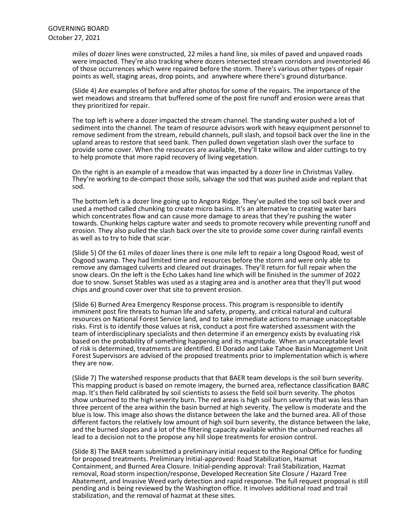miles of dozer lines were constructed, 22 miles a hand line, six miles of paved and unpaved roads were impacted. They're also tracking where dozers intersected stream corridors and inventoried 46 of those occurrences which were repaired before the storm. There's various other types of repair points as well, staging areas, drop points, and anywhere where there's ground disturbance.

(Slide 4) Are examples of before and after photos for some of the repairs. The importance of the wet meadows and streams that buffered some of the post fire runoff and erosion were areas that they prioritized for repair.

The top left is where a dozer impacted the stream channel. The standing water pushed a lot of sediment into the channel. The team of resource advisors work with heavy equipment personnel to remove sediment from the stream, rebuild channels, pull slash, and topsoil back over the line in the upland areas to restore that seed bank. Then pulled down vegetation slash over the surface to provide some cover. When the resources are available, they'll take willow and alder cuttings to try to help promote that more rapid recovery of living vegetation.

On the right is an example of a meadow that was impacted by a dozer line in Christmas Valley. They're working to de-compact those soils, salvage the sod that was pushed aside and replant that sod.

The bottom left is a dozer line going up to Angora Ridge. They've pulled the top soil back over and used a method called chunking to create micro basins. It's an alternative to creating water bars which concentrates flow and can cause more damage to areas that they're pushing the water towards. Chunking helps capture water and seeds to promote recovery while preventing runoff and erosion. They also pulled the slash back over the site to provide some cover during rainfall events as well as to try to hide that scar.

(Slide 5) Of the 61 miles of dozer lines there is one mile left to repair a long Osgood Road, west of Osgood swamp. They had limited time and resources before the storm and were only able to remove any damaged culverts and cleared out drainages. They'll return for full repair when the snow clears. On the left is the Echo Lakes hand line which will be finished in the summer of 2022 due to snow. Sunset Stables was used as a staging area and is another area that they'll put wood chips and ground cover over that site to prevent erosion.

(Slide 6) Burned Area Emergency Response process. This program is responsible to identify imminent post fire threats to human life and safety, property, and critical natural and cultural resources on National Forest Service land, and to take immediate actions to manage unacceptable risks. First is to identify those values at risk, conduct a post fire watershed assessment with the team of interdisciplinary specialists and then determine if an emergency exists by evaluating risk based on the probability of something happening and its magnitude. When an unacceptable level of risk is determined, treatments are identified. El Dorado and Lake Tahoe Basin Management Unit Forest Supervisors are advised of the proposed treatments prior to implementation which is where they are now.

(Slide 7) The watershed response products that that BAER team develops is the soil burn severity. This mapping product is based on remote imagery, the burned area, reflectance classification BARC map. It's then field calibrated by soil scientists to assess the field soil burn severity. The photos show unburned to the high severity burn. The red areas is high soil burn severity that was less than three percent of the area within the basin burned at high severity. The yellow is moderate and the blue is low. This image also shows the distance between the lake and the burned area. All of those different factors the relatively low amount of high soil burn severity, the distance between the lake, and the burned slopes and a lot of the filtering capacity available within the unburned reaches all lead to a decision not to the propose any hill slope treatments for erosion control.

(Slide 8) The BAER team submitted a preliminary initial request to the Regional Office for funding for proposed treatments. Preliminary Initial-approved: Road Stabilization, Hazmat Containment, and Burned Area Closure. Initial-pending approval: Trail Stabilization, Hazmat removal, Road storm inspection/response, Developed Recreation Site Closure / Hazard Tree Abatement, and Invasive Weed early detection and rapid response. The full request proposal is still pending and is being reviewed by the Washington office. It involves additional road and trail stabilization, and the removal of hazmat at these sites.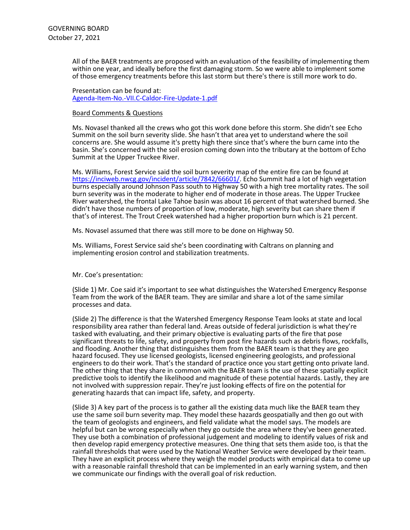All of the BAER treatments are proposed with an evaluation of the feasibility of implementing them within one year, and ideally before the first damaging storm. So we were able to implement some of those emergency treatments before this last storm but there's there is still more work to do.

Presentation can be found at: [Agenda-Item-No.-VII.C-Caldor-Fire-Update-1.pdf](https://www.trpa.gov/wp-content/uploads/Agenda-Item-No.-VII.C-Caldor-Fire-Update-1.pdf)

#### Board Comments & Questions

Ms. Novasel thanked all the crews who got this work done before this storm. She didn't see Echo Summit on the soil burn severity slide. She hasn't that area yet to understand where the soil concerns are. She would assume it's pretty high there since that's where the burn came into the basin. She's concerned with the soil erosion coming down into the tributary at the bottom of Echo Summit at the Upper Truckee River.

Ms. Williams, Forest Service said the soil burn severity map of the entire fire can be found at [https://inciweb.nwcg.gov/incident/article/7842/66601/.](https://inciweb.nwcg.gov/incident/article/7842/66601/) Echo Summit had a lot of high vegetation burns especially around Johnson Pass south to Highway 50 with a high tree mortality rates. The soil burn severity was in the moderate to higher end of moderate in those areas. The Upper Truckee River watershed, the frontal Lake Tahoe basin was about 16 percent of that watershed burned. She didn't have those numbers of proportion of low, moderate, high severity but can share them if that's of interest. The Trout Creek watershed had a higher proportion burn which is 21 percent.

Ms. Novasel assumed that there was still more to be done on Highway 50.

Ms. Williams, Forest Service said she's been coordinating with Caltrans on planning and implementing erosion control and stabilization treatments.

### Mr. Coe's presentation:

(Slide 1) Mr. Coe said it's important to see what distinguishes the Watershed Emergency Response Team from the work of the BAER team. They are similar and share a lot of the same similar processes and data.

(Slide 2) The difference is that the Watershed Emergency Response Team looks at state and local responsibility area rather than federal land. Areas outside of federal jurisdiction is what they're tasked with evaluating, and their primary objective is evaluating parts of the fire that pose significant threats to life, safety, and property from post fire hazards such as debris flows, rockfalls, and flooding. Another thing that distinguishes them from the BAER team is that they are geo hazard focused. They use licensed geologists, licensed engineering geologists, and professional engineers to do their work. That's the standard of practice once you start getting onto private land. The other thing that they share in common with the BAER team is the use of these spatially explicit predictive tools to identify the likelihood and magnitude of these potential hazards. Lastly, they are not involved with suppression repair. They're just looking effects of fire on the potential for generating hazards that can impact life, safety, and property.

(Slide 3) A key part of the process is to gather all the existing data much like the BAER team they use the same soil burn severity map. They model these hazards geospatially and then go out with the team of geologists and engineers, and field validate what the model says. The models are helpful but can be wrong especially when they go outside the area where they've been generated. They use both a combination of professional judgement and modeling to identify values of risk and then develop rapid emergency protective measures. One thing that sets them aside too, is that the rainfall thresholds that were used by the National Weather Service were developed by their team. They have an explicit process where they weigh the model products with empirical data to come up with a reasonable rainfall threshold that can be implemented in an early warning system, and then we communicate our findings with the overall goal of risk reduction.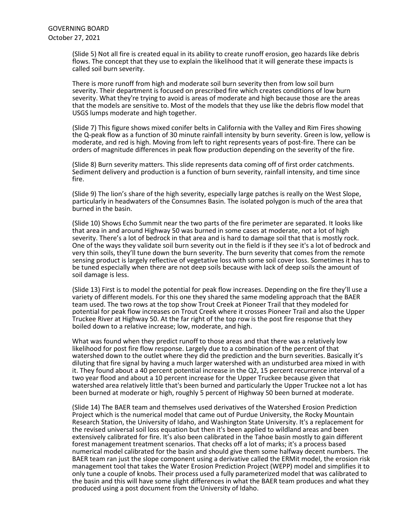(Slide 5) Not all fire is created equal in its ability to create runoff erosion, geo hazards like debris flows. The concept that they use to explain the likelihood that it will generate these impacts is called soil burn severity.

There is more runoff from high and moderate soil burn severity then from low soil burn severity. Their department is focused on prescribed fire which creates conditions of low burn severity. What they're trying to avoid is areas of moderate and high because those are the areas that the models are sensitive to. Most of the models that they use like the debris flow model that USGS lumps moderate and high together.

(Slide 7) This figure shows mixed conifer belts in California with the Valley and Rim Fires showing the Q-peak flow as a function of 30 minute rainfall intensity by burn severity. Green is low, yellow is moderate, and red is high. Moving from left to right represents years of post-fire. There can be orders of magnitude differences in peak flow production depending on the severity of the fire.

(Slide 8) Burn severity matters. This slide represents data coming off of first order catchments. Sediment delivery and production is a function of burn severity, rainfall intensity, and time since fire.

(Slide 9) The lion's share of the high severity, especially large patches is really on the West Slope, particularly in headwaters of the Consumnes Basin. The isolated polygon is much of the area that burned in the basin.

(Slide 10) Shows Echo Summit near the two parts of the fire perimeter are separated. It looks like that area in and around Highway 50 was burned in some cases at moderate, not a lot of high severity. There's a lot of bedrock in that area and is hard to damage soil that that is mostly rock.<br>One of the ways they validate soil burn severity out in the field is if they see it's a lot of bedrock and very thin soils, they'll tune down the burn severity. The burn severity that comes from the remote sensing product is largely reflective of vegetative loss with some soil cover loss. Sometimes it has to be tuned especially when there are not deep soils because with lack of deep soils the amount of soil damage is less.

(Slide 13) First is to model the potential for peak flow increases. Depending on the fire they'll use a variety of different models. For this one they shared the same modeling approach that the BAER team used. The two rows at the top show Trout Creek at Pioneer Trail that they modeled for potential for peak flow increases on Trout Creek where it crosses Pioneer Trail and also the Upper Truckee River at Highway 50. At the far right of the top row is the post fire response that they boiled down to a relative increase; low, moderate, and high.

What was found when they predict runoff to those areas and that there was a relatively low likelihood for post fire flow response. Largely due to a combination of the percent of that watershed down to the outlet where they did the prediction and the burn severities. Basically it's diluting that fire signal by having a much larger watershed with an undisturbed area mixed in with it. They found about a 40 percent potential increase in the Q2, 15 percent recurrence interval of a two year flood and about a 10 percent increase for the Upper Truckee because given that watershed area relatively little that's been burned and particularly the Upper Truckee not a lot has been burned at moderate or high, roughly 5 percent of Highway 50 been burned at moderate.

(Slide 14) The BAER team and themselves used derivatives of the Watershed Erosion Prediction Project which is the numerical model that came out of Purdue University, the Rocky Mountain Research Station, the University of Idaho, and Washington State University. It's a replacement for the revised universal soil loss equation but then it's been applied to wildland areas and been extensively calibrated for fire. It's also been calibrated in the Tahoe basin mostly to gain different forest management treatment scenarios. That checks off a lot of marks; it's a process based numerical model calibrated for the basin and should give them some halfway decent numbers. The BAER team ran just the slope component using a derivative called the ERMit model, the erosion risk management tool that takes the Water Erosion Prediction Project (WEPP) model and simplifies it to only tune a couple of knobs. Their process used a fully parameterized model that was calibrated to the basin and this will have some slight differences in what the BAER team produces and what they produced using a post document from the University of Idaho.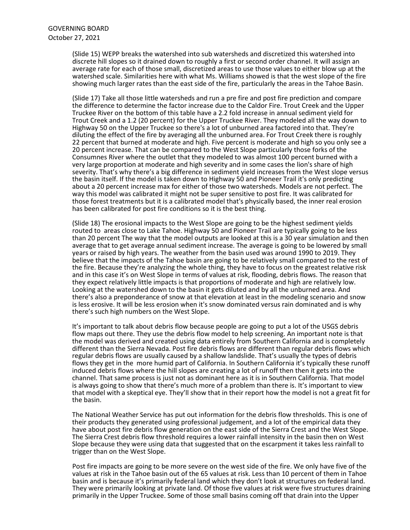(Slide 15) WEPP breaks the watershed into sub watersheds and discretized this watershed into discrete hill slopes so it drained down to roughly a first or second order channel. It will assign an average rate for each of those small, discretized areas to use those values to either blow up at the watershed scale. Similarities here with what Ms. Williams showed is that the west slope of the fire showing much larger rates than the east side of the fire, particularly the areas in the Tahoe Basin.

(Slide 17) Take all those little watersheds and run a pre fire and post fire prediction and compare the difference to determine the factor increase due to the Caldor Fire. Trout Creek and the Upper Truckee River on the bottom of this table have a 2.2 fold increase in annual sediment yield for Trout Creek and a 1.2 (20 percent) for the Upper Truckee River. They modeled all the way down to Highway 50 on the Upper Truckee so there's a lot of unburned area factored into that. They're diluting the effect of the fire by averaging all the unburned area. For Trout Creek there is roughly 22 percent that burned at moderate and high. Five percent is moderate and high so you only see a 20 percent increase. That can be compared to the West Slope particularly those forks of the Consumnes River where the outlet that they modeled to was almost 100 percent burned with a very large proportion at moderate and high severity and in some cases the lion's share of high severity. That's why there's a big difference in sediment yield increases from the West slope versus the basin itself. If the model is taken down to Highway 50 and Pioneer Trail it's only predicting about a 20 percent increase max for either of those two watersheds. Models are not perfect. The way this model was calibrated it might not be super sensitive to post fire. It was calibrated for those forest treatments but it is a calibrated model that's physically based, the inner real erosion has been calibrated for post fire conditions so it is the best thing.

(Slide 18) The erosional impacts to the West Slope are going to be the highest sediment yields routed to areas close to Lake Tahoe. Highway 50 and Pioneer Trail are typically going to be less than 20 percent The way that the model outputs are looked at this is a 30 year simulation and then average that to get average annual sediment increase. The average is going to be lowered by small years or raised by high years. The weather from the basin used was around 1990 to 2019. They believe that the impacts of the Tahoe basin are going to be relatively small compared to the rest of the fire. Because they're analyzing the whole thing, they have to focus on the greatest relative risk and in this case it's on West Slope in terms of values at risk, flooding, debris flows. The reason that they expect relatively little impacts is that proportions of moderate and high are relatively low. Looking at the watershed down to the basin it gets diluted and by all the unburned area. And there's also a preponderance of snow at that elevation at least in the modeling scenario and snow is less erosive. It will be less erosion when it's snow dominated versus rain dominated and is why there's such high numbers on the West Slope.

It's important to talk about debris flow because people are going to put a lot of the USGS debris flow maps out there. They use the debris flow model to help screening. An important note is that the model was derived and created using data entirely from Southern California and is completely different than the Sierra Nevada. Post fire debris flows are different than regular debris flows which regular debris flows are usually caused by a shallow landslide. That's usually the types of debris flows they get in the more humid part of California. In Southern California it's typically these runoff induced debris flows where the hill slopes are creating a lot of runoff then then it gets into the channel. That same process is just not as dominant here as it is in Southern California. That model is always going to show that there's much more of a problem than there is. It's important to view that model with a skeptical eye. They'll show that in their report how the model is not a great fit for the basin.

The National Weather Service has put out information for the debris flow thresholds. This is one of their products they generated using professional judgement, and a lot of the empirical data they have about post fire debris flow generation on the east side of the Sierra Crest and the West Slope. The Sierra Crest debris flow threshold requires a lower rainfall intensity in the basin then on West Slope because they were using data that suggested that on the escarpment it takes less rainfall to trigger than on the West Slope.

Post fire impacts are going to be more severe on the west side of the fire. We only have five of the values at risk in the Tahoe basin out of the 65 values at risk. Less than 10 percent of them in Tahoe basin and is because it's primarily federal land which they don't look at structures on federal land. They were primarily looking at private land. Of those five values at risk were five structures draining primarily in the Upper Truckee. Some of those small basins coming off that drain into the Upper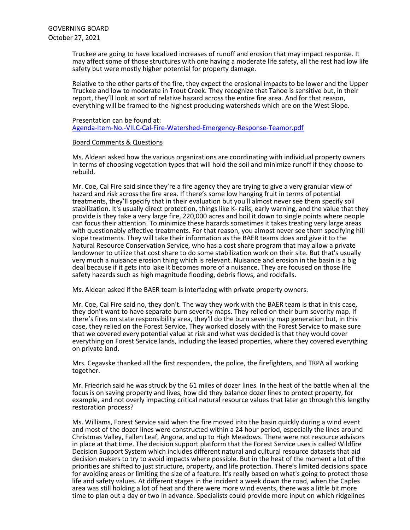Truckee are going to have localized increases of runoff and erosion that may impact response. It may affect some of those structures with one having a moderate life safety, all the rest had low life safety but were mostly higher potential for property damage.

Relative to the other parts of the fire, they expect the erosional impacts to be lower and the Upper Truckee and low to moderate in Trout Creek. They recognize that Tahoe is sensitive but, in their report, they'll look at sort of relative hazard across the entire fire area. And for that reason, everything will be framed to the highest producing watersheds which are on the West Slope.

### Presentation can be found at: [Agenda-Item-No.-VII.C-Cal-Fire-Watershed-Emergency-Response-Teamor.pdf](https://www.trpa.gov/wp-content/uploads/Agenda-Item-No.-VII.C-Cal-Fire-Watershed-Emergency-Response-Teamor.pdf)

# Board Comments & Questions

Ms. Aldean asked how the various organizations are coordinating with individual property owners in terms of choosing vegetation types that will hold the soil and minimize runoff if they choose to rebuild.

Mr. Coe, Cal Fire said since they're a fire agency they are trying to give a very granular view of hazard and risk across the fire area. If there's some low hanging fruit in terms of potential treatments, they'll specify that in their evaluation but you'll almost never see them specify soil stabilization. It's usually direct protection, things like K- rails, early warning, and the value that they provide is they take a very large fire, 220,000 acres and boil it down to single points where people can focus their attention. To minimize these hazards sometimes it takes treating very large areas with questionably effective treatments. For that reason, you almost never see them specifying hill slope treatments. They will take their information as the BAER teams does and give it to the Natural Resource Conservation Service, who has a cost share program that may allow a private landowner to utilize that cost share to do some stabilization work on their site. But that's usually very much a nuisance erosion thing which is relevant. Nuisance and erosion in the basin is a big deal because if it gets into lake it becomes more of a nuisance. They are focused on those life safety hazards such as high magnitude flooding, debris flows, and rockfalls.

Ms. Aldean asked if the BAER team is interfacing with private property owners.

Mr. Coe, Cal Fire said no, they don't. The way they work with the BAER team is that in this case, they don't want to have separate burn severity maps. They relied on their burn severity map. If there's fires on state responsibility area, they'll do the burn severity map generation but, in this case, they relied on the Forest Service. They worked closely with the Forest Service to make sure that we covered every potential value at risk and what was decided is that they would cover everything on Forest Service lands, including the leased properties, where they covered everything on private land.

Mrs. Cegavske thanked all the first responders, the police, the firefighters, and TRPA all working together.

Mr. Friedrich said he was struck by the 61 miles of dozer lines. In the heat of the battle when all the focus is on saving property and lives, how did they balance dozer lines to protect property, for example, and not overly impacting critical natural resource values that later go through this lengthy restoration process?

Ms. Williams, Forest Service said when the fire moved into the basin quickly during a wind event and most of the dozer lines were constructed within a 24 hour period, especially the lines around Christmas Valley, Fallen Leaf, Angora, and up to High Meadows. There were not resource advisors in place at that time. The decision support platform that the Forest Service uses is called Wildfire Decision Support System which includes different natural and cultural resource datasets that aid decision makers to try to avoid impacts where possible. But in the heat of the moment a lot of the priorities are shifted to just structure, property, and life protection. There's limited decisions space for avoiding areas or limiting the size of a feature. It's really based on what's going to protect those life and safety values. At different stages in the incident a week down the road, when the Caples area was still holding a lot of heat and there were more wind events, there was a little bit more time to plan out a day or two in advance. Specialists could provide more input on which ridgelines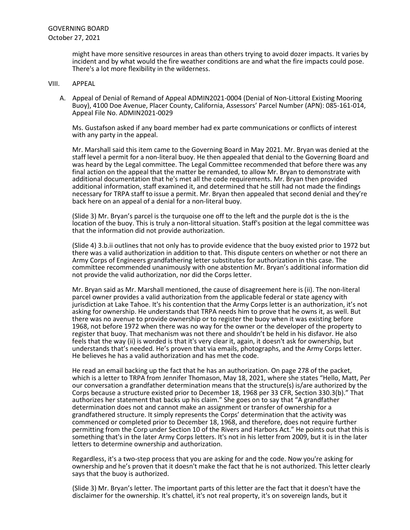might have more sensitive resources in areas than others trying to avoid dozer impacts. It varies by incident and by what would the fire weather conditions are and what the fire impacts could pose. There's a lot more flexibility in the wilderness.

- VIII. APPEAL
	- A. Appeal of Denial of Remand of Appeal ADMIN2021-0004 (Denial of Non-Littoral Existing Mooring Buoy), 4100 Doe Avenue, Placer County, California, Assessors' Parcel Number (APN): 085-161-014, Appeal File No. ADMIN2021-0029

Ms. Gustafson asked if any board member had ex parte communications or conflicts of interest with any party in the appeal.

Mr. Marshall said this item came to the Governing Board in May 2021. Mr. Bryan was denied at the staff level a permit for a non-literal buoy. He then appealed that denial to the Governing Board and was heard by the Legal committee. The Legal Committee recommended that before there was any final action on the appeal that the matter be remanded, to allow Mr. Bryan to demonstrate with additional documentation that he's met all the code requirements. Mr. Bryan then provided additional information, staff examined it, and determined that he still had not made the findings necessary for TRPA staff to issue a permit. Mr. Bryan then appealed that second denial and they're back here on an appeal of a denial for a non-literal buoy.

(Slide 3) Mr. Bryan's parcel is the turquoise one off to the left and the purple dot is the is the location of the buoy. This is truly a non-littoral situation. Staff's position at the legal committee was that the information did not provide authorization.

(Slide 4) 3.b.ii outlines that not only has to provide evidence that the buoy existed prior to 1972 but there was a valid authorization in addition to that. This dispute centers on whether or not there an Army Corps of Engineers grandfathering letter substitutes for authorization in this case. The committee recommended unanimously with one abstention Mr. Bryan's additional information did not provide the valid authorization, nor did the Corps letter.

Mr. Bryan said as Mr. Marshall mentioned, the cause of disagreement here is (ii). The non-literal parcel owner provides a valid authorization from the applicable federal or state agency with jurisdiction at Lake Tahoe. It's his contention that the Army Corps letter is an authorization, it's not asking for ownership. He understands that TRPA needs him to prove that he owns it, as well. But there was no avenue to provide ownership or to register the buoy when it was existing before 1968, not before 1972 when there was no way for the owner or the developer of the property to register that buoy. That mechanism was not there and shouldn't be held in his disfavor. He also feels that the way (ii) is worded is that it's very clear it, again, it doesn't ask for ownership, but understands that's needed. He's proven that via emails, photographs, and the Army Corps letter.<br>He believes he has a valid authorization and has met the code.

He read an email backing up the fact that he has an authorization. On page 278 of the packet, which is a letter to TRPA from Jennifer Thomason, May 18, 2021, where she states "Hello, Matt, Per our conversation a grandfather determination means that the structure(s) is/are authorized by the Corps because a structure existed prior to December 18, 1968 per 33 CFR, Section 330.3(b)." That authorizes her statement that backs up his claim." She goes on to say that "A grandfather determination does not and cannot make an assignment or transfer of ownership for a grandfathered structure. It simply represents the Corps' determination that the activity was commenced or completed prior to December 18, 1968, and therefore, does not require further permitting from the Corp under Section 10 of the Rivers and Harbors Act." He points out that this is something that's in the later Army Corps letters. It's not in his letter from 2009, but it is in the later letters to determine ownership and authorization.

Regardless, it's a two-step process that you are asking for and the code. Now you're asking for ownership and he's proven that it doesn't make the fact that he is not authorized. This letter clearly says that the buoy is authorized.

(Slide 3) Mr. Bryan's letter. The important parts of this letter are the fact that it doesn't have the disclaimer for the ownership. It's chattel, it's not real property, it's on sovereign lands, but it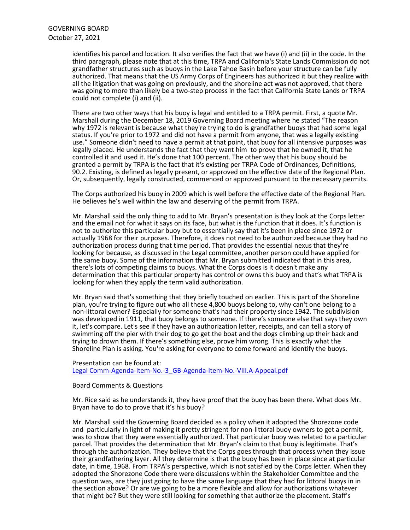identifies his parcel and location. It also verifies the fact that we have (i) and (ii) in the code. In the third paragraph, please note that at this time, TRPA and California's State Lands Commission do not grandfather structures such as buoys in the Lake Tahoe Basin before your structure can be fully authorized. That means that the US Army Corps of Engineers has authorized it but they realize with all the litigation that was going on previously, and the shoreline act was not approved, that there was going to more than likely be a two-step process in the fact that California State Lands or TRPA could not complete (i) and (ii).

There are two other ways that his buoy is legal and entitled to a TRPA permit. First, a quote Mr. Marshall during the December 18, 2019 Governing Board meeting where he stated "The reason why 1972 is relevant is because what they're trying to do is grandfather buoys that had some legal status. If you're prior to 1972 and did not have a permit from anyone, that was a legally existing use." Someone didn't need to have a permit at that point, that buoy for all intensive purposes was legally placed. He understands the fact that they want him to prove that he owned it, that he controlled it and used it. He's done that 100 percent. The other way that his buoy should be granted a permit by TRPA is the fact that it's existing per TRPA Code of Ordinances, Definitions, 90.2. Existing, is defined as legally present, or approved on the effective date of the Regional Plan. Or, subsequently, legally constructed, commenced or approved pursuant to the necessary permits.

The Corps authorized his buoy in 2009 which is well before the effective date of the Regional Plan. He believes he's well within the law and deserving of the permit from TRPA.

Mr. Marshall said the only thing to add to Mr. Bryan's presentation is they look at the Corps letter and the email not for what it says on its face, but what is the function that it does. It's function is not to authorize this particular buoy but to essentially say that it's been in place since 1972 or actually 1968 for their purposes. Therefore, it does not need to be authorized because they had no authorization process during that time period. That provides the essential nexus that they're looking for because, as discussed in the Legal committee, another person could have applied for the same buoy. Some of the information that Mr. Bryan submitted indicated that in this area, there's lots of competing claims to buoys. What the Corps does is it doesn't make any determination that this particular property has control or owns this buoy and that's what TRPA is looking for when they apply the term valid authorization.

Mr. Bryan said that's something that they briefly touched on earlier. This is part of the Shoreline plan, you're trying to figure out who all these 4,800 buoys belong to, why can't one belong to a non-littoral owner? Especially for someone that's had their property since 1942. The subdivision was developed in 1911, that buoy belongs to someone. If there's someone else that says they own it, let's compare. Let's see if they have an authorization letter, receipts, and can tell a story of swimming off the pier with their dog to go get the boat and the dogs climbing up their back and trying to drown them. If there's something else, prove him wrong. This is exactly what the Shoreline Plan is asking. You're asking for everyone to come forward and identify the buoys.

### Presentation can be found at: [Legal Comm-Agenda-Item-No.-3\\_GB-Agenda-Item-No.-VIII.A-Appeal.pdf](https://www.trpa.gov/wp-content/uploads/Legal-Comm-Agenda-Item-No.-3_GB-Agenda-Item-No.-VIII.A-Appeal.pdf)

# Board Comments & Questions

Mr. Rice said as he understands it, they have proof that the buoy has been there. What does Mr. Bryan have to do to prove that it's his buoy?

Mr. Marshall said the Governing Board decided as a policy when it adopted the Shorezone code and particularly in light of making it pretty stringent for non-littoral buoy owners to get a permit, was to show that they were essentially authorized. That particular buoy was related to a particular parcel. That provides the determination that Mr. Bryan's claim to that buoy is legitimate. That's through the authorization. They believe that the Corps goes through that process when they issue their grandfathering layer. All they determine is that the buoy has been in place since at particular date, in time, 1968. From TRPA's perspective, which is not satisfied by the Corps letter. When they adopted the Shorezone Code there were discussions within the Stakeholder Committee and the question was, are they just going to have the same language that they had for littoral buoys in in the section above? Or are we going to be a more flexible and allow for authorizations whatever that might be? But they were still looking for something that authorize the placement. Staff's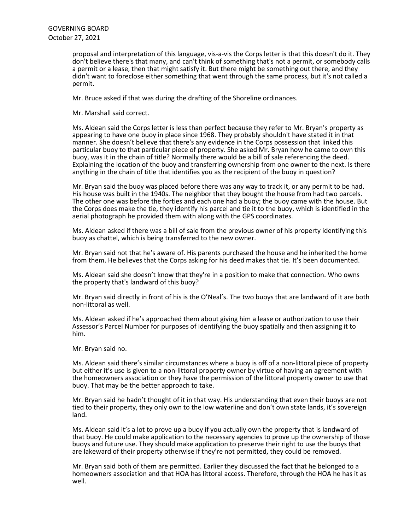proposal and interpretation of this language, vis-a-vis the Corps letter is that this doesn't do it. They don't believe there's that many, and can't think of something that's not a permit, or somebody calls a permit or a lease, then that might satisfy it. But there might be something out there, and they didn't want to foreclose either something that went through the same process, but it's not called a permit.

Mr. Bruce asked if that was during the drafting of the Shoreline ordinances.

Mr. Marshall said correct.

Ms. Aldean said the Corps letter is less than perfect because they refer to Mr. Bryan's property as appearing to have one buoy in place since 1968. They probably shouldn't have stated it in that manner. She doesn't believe that there's any evidence in the Corps possession that linked this particular buoy to that particular piece of property. She asked Mr. Bryan how he came to own this buoy, was it in the chain of title? Normally there would be a bill of sale referencing the deed. Explaining the location of the buoy and transferring ownership from one owner to the next. Is there anything in the chain of title that identifies you as the recipient of the buoy in question?

Mr. Bryan said the buoy was placed before there was any way to track it, or any permit to be had.<br>His house was built in the 1940s. The neighbor that they bought the house from had two parcels. The other one was before the forties and each one had a buoy; the buoy came with the house. But the Corps does make the tie, they identify his parcel and tie it to the buoy, which is identified in the aerial photograph he provided them with along with the GPS coordinates.

Ms. Aldean asked if there was a bill of sale from the previous owner of his property identifying this buoy as chattel, which is being transferred to the new owner.

Mr. Bryan said not that he's aware of. His parents purchased the house and he inherited the home from them. He believes that the Corps asking for his deed makes that tie. It's been documented.

Ms. Aldean said she doesn't know that they're in a position to make that connection. Who owns the property that's landward of this buoy?

Mr. Bryan said directly in front of his is the O'Neal's. The two buoys that are landward of it are both non-littoral as well.

Ms. Aldean asked if he's approached them about giving him a lease or authorization to use their Assessor's Parcel Number for purposes of identifying the buoy spatially and then assigning it to him.

Mr. Bryan said no.

Ms. Aldean said there's similar circumstances where a buoy is off of a non-littoral piece of property but either it's use is given to a non-littoral property owner by virtue of having an agreement with the homeowners association or they have the permission of the littoral property owner to use that buoy. That may be the better approach to take.

Mr. Bryan said he hadn't thought of it in that way. His understanding that even their buoys are not tied to their property, they only own to the low waterline and don't own state lands, it's sovereign land.

Ms. Aldean said it's a lot to prove up a buoy if you actually own the property that is landward of that buoy. He could make application to the necessary agencies to prove up the ownership of those buoys and future use. They should make application to preserve their right to use the buoys that are lakeward of their property otherwise if they're not permitted, they could be removed.

Mr. Bryan said both of them are permitted. Earlier they discussed the fact that he belonged to a homeowners association and that HOA has littoral access. Therefore, through the HOA he has it as well.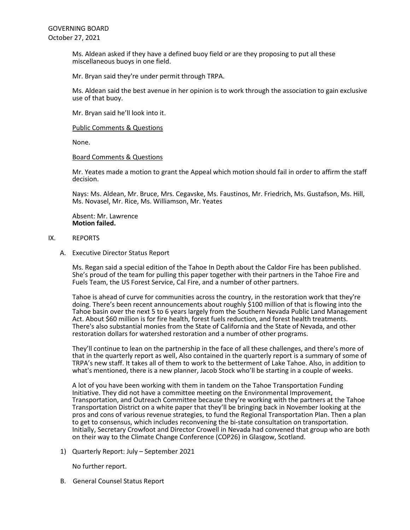Ms. Aldean asked if they have a defined buoy field or are they proposing to put all these miscellaneous buoys in one field.

Mr. Bryan said they're under permit through TRPA.

Ms. Aldean said the best avenue in her opinion is to work through the association to gain exclusive use of that buoy.

Mr. Bryan said he'll look into it.

Public Comments & Questions

None.

#### Board Comments & Questions

Mr. Yeates made a motion to grant the Appeal which motion should fail in order to affirm the staff decision.

Nays: Ms. Aldean, Mr. Bruce, Mrs. Cegavske, Ms. Faustinos, Mr. Friedrich, Ms. Gustafson, Ms. Hill, Ms. Novasel, Mr. Rice, Ms. Williamson, Mr. Yeates

Absent: Mr. Lawrence **Motion failed.**

### IX. REPORTS

A. Executive Director Status Report

Ms. Regan said a special edition of the Tahoe In Depth about the Caldor Fire has been published. She's proud of the team for pulling this paper together with their partners in the Tahoe Fire and Fuels Team, the US Forest Service, Cal Fire, and a number of other partners.

Tahoe is ahead of curve for communities across the country, in the restoration work that they're doing. There's been recent announcements about roughly \$100 million of that is flowing into the Tahoe basin over the next 5 to 6 years largely from the Southern Nevada Public Land Management Act. About \$60 million is for fire health, forest fuels reduction, and forest health treatments. There's also substantial monies from the State of California and the State of Nevada, and other restoration dollars for watershed restoration and a number of other programs.

They'll continue to lean on the partnership in the face of all these challenges, and there's more of that in the quarterly report as well, Also contained in the quarterly report is a summary of some of TRPA's new staff. It takes all of them to work to the betterment of Lake Tahoe. Also, in addition to what's mentioned, there is a new planner, Jacob Stock who'll be starting in a couple of weeks.

A lot of you have been working with them in tandem on the Tahoe Transportation Funding Initiative. They did not have a committee meeting on the Environmental Improvement, Transportation, and Outreach Committee because they're working with the partners at the Tahoe Transportation District on a white paper that they'll be bringing back in November looking at the pros and cons of various revenue strategies, to fund the Regional Transportation Plan. Then a plan to get to consensus, which includes reconvening the bi-state consultation on transportation. Initially, Secretary Crowfoot and Director Crowell in Nevada had convened that group who are both on their way to the Climate Change Conference (COP26) in Glasgow, Scotland.

1) Quarterly Report: July – September 2021

No further report.

B. General Counsel Status Report